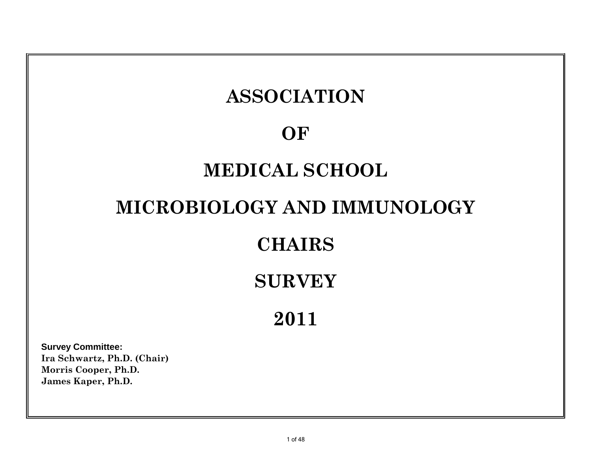# **Survey Committee: Ira Schwartz, Ph.D. (Chair) 2011 ASSOCIATION OF MEDICAL SCHOOL MICROBIOLOGY AND IMMUNOLOGY CHAIRS SURVEY**

1 of 48

**Morris Cooper, Ph.D. James Kaper, Ph.D.**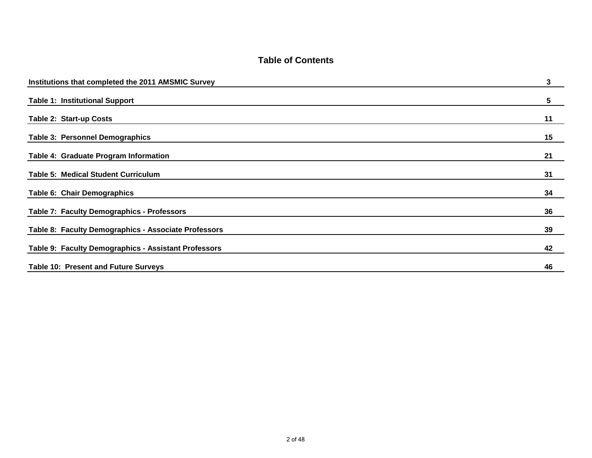#### **Table of Contents**

| Institutions that completed the 2011 AMSMIC Survey   | 3  |
|------------------------------------------------------|----|
| <b>Table 1: Institutional Support</b>                | 5  |
| Table 2: Start-up Costs                              | 11 |
| <b>Table 3: Personnel Demographics</b>               | 15 |
| Table 4: Graduate Program Information                | 21 |
| <b>Table 5: Medical Student Curriculum</b>           | 31 |
| Table 6: Chair Demographics                          | 34 |
| Table 7: Faculty Demographics - Professors           | 36 |
| Table 8: Faculty Demographics - Associate Professors | 39 |
| Table 9: Faculty Demographics - Assistant Professors | 42 |
| Table 10: Present and Future Surveys                 | 46 |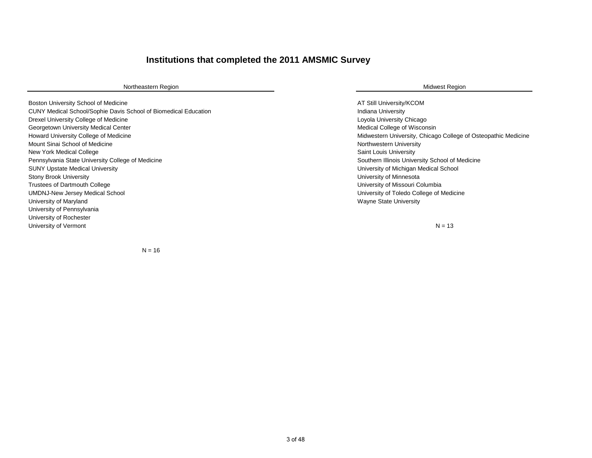#### **Institutions that completed the 2011 AMSMIC Survey**

Northeastern Region **Midwest Region** Midwest Region **Midwest Region** 

Boston University School of Medicine AT Still University/KCOM and the University/KCOM CUNY Medical School/Sophie Davis School of Biomedical Education **Indiana University** Indiana University Drexel University College of Medicine Loyola University Chicago Chicago Chicago Loyola University Chicago Georgetown University Medical Center Medical Center Medical Center Medical Center Medical Center Medical Center Howard University College of Medicine Medicine Midwestern University, Chicago College of Osteopathic Medicine Mount Sinai School of Medicine Northwestern University Northwestern University New York Medical College Saint Louis University Pennsylvania State University College of Medicine Southern Illinois University School of Medicine Southern Illinois University School of Medicine SUNY Upstate Medical University **National School** SUNY Upstate Medical School and The University of Michigan Medical School Stony Brook University **National Stone Control of Minnesota** Christian University of Minnesota Trustees of Dartmouth College **University of Missouri Columbia** University of Missouri Columbia UMDNJ-New Jersey Medical School University of Toledo College of Medicine University of Maryland Wayne State University of Maryland Wayne State University of Maryland Wayne State University University of Pennsylvania University of Rochester University of Vermont

 $N = 13$ 

 $N = 16$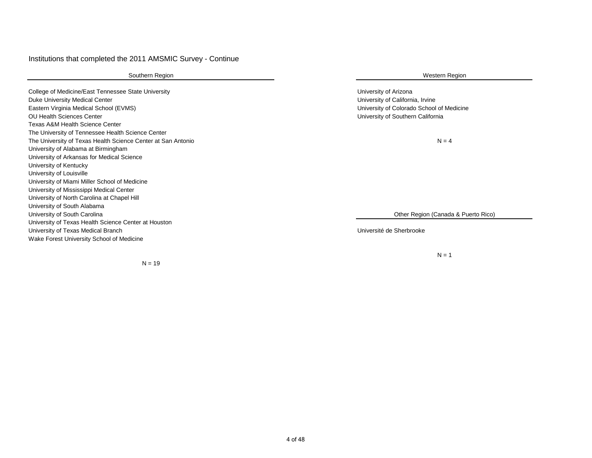#### Institutions that completed the 2011 AMSMIC Survey - Continue

College of Medicine/East Tennessee State University **National State University of Arizona** College of Medicine/East Tennessee State University Duke University Medical Center University of California, Irvine Eastern Virginia Medical School (EVMS) University of Colorado School of Medicine OU Health Sciences Center University of Southern California Texas A&M Health Science Center The University of Tennessee Health Science Center The University of Texas Health Science Center at San Antonio University of Alabama at Birmingham University of Arkansas for Medical Science University of Kentucky University of Louisville University of Miami Miller School of Medicine University of Mississippi Medical Center University of North Carolina at Chapel Hill University of South Alabama University of South Carolina University of Texas Health Science Center at Houston University of Texas Medical Branch Université de Sherbrooke Wake Forest University School of Medicine

 $N = 19$ 

#### Southern Region Number of the Southern Region Number of the Southern Region Number of the Southern Region Number of the Southern Region Number of the Southern Region Number of the Southern Region Number of the Southern Reg

 $N = 4$ 

Other Region (Canada & Puerto Rico)

 $N = 1$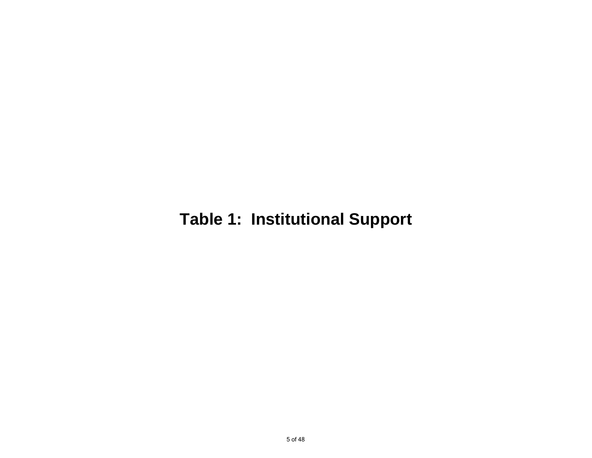# **Table 1: Institutional Support**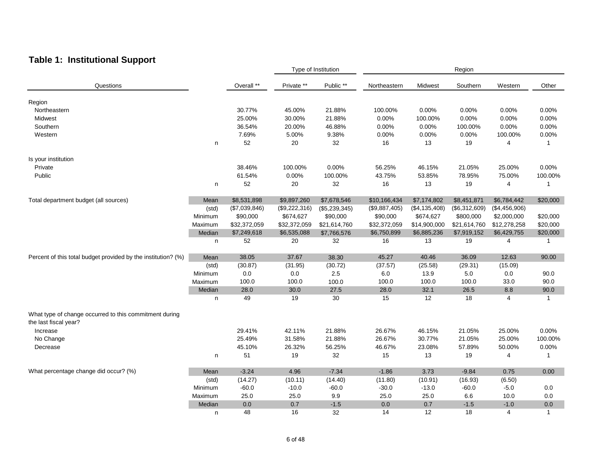## **Table 1: Institutional Support**

|                                                                                 |         |               |               | Type of Institution |               | Region        |               |               |              |  |  |
|---------------------------------------------------------------------------------|---------|---------------|---------------|---------------------|---------------|---------------|---------------|---------------|--------------|--|--|
| Questions                                                                       |         | Overall **    | Private **    | Public **           | Northeastern  | Midwest       | Southern      | Western       | Other        |  |  |
| Region                                                                          |         |               |               |                     |               |               |               |               |              |  |  |
| Northeastern                                                                    |         | 30.77%        | 45.00%        | 21.88%              | 100.00%       | 0.00%         | 0.00%         | 0.00%         | 0.00%        |  |  |
| Midwest                                                                         |         | 25.00%        | 30.00%        | 21.88%              | 0.00%         | 100.00%       | 0.00%         | 0.00%         | 0.00%        |  |  |
| Southern                                                                        |         | 36.54%        | 20.00%        | 46.88%              | 0.00%         | 0.00%         | 100.00%       | 0.00%         | 0.00%        |  |  |
| Western                                                                         |         | 7.69%         | 5.00%         | 9.38%               | 0.00%         | 0.00%         | 0.00%         | 100.00%       | 0.00%        |  |  |
|                                                                                 |         | 52            |               |                     | 16            |               |               | 4             | $\mathbf{1}$ |  |  |
|                                                                                 | n       |               | 20            | 32                  |               | 13            | 19            |               |              |  |  |
| Is your institution                                                             |         |               |               |                     |               |               |               |               |              |  |  |
| Private                                                                         |         | 38.46%        | 100.00%       | 0.00%               | 56.25%        | 46.15%        | 21.05%        | 25.00%        | 0.00%        |  |  |
| Public                                                                          |         | 61.54%        | 0.00%         | 100.00%             | 43.75%        | 53.85%        | 78.95%        | 75.00%        | 100.00%      |  |  |
|                                                                                 | n       | 52            | 20            | 32                  | 16            | 13            | 19            | 4             | -1           |  |  |
|                                                                                 |         |               |               |                     |               |               |               |               |              |  |  |
| Total department budget (all sources)                                           | Mean    | \$8,531,898   | \$9,897,260   | \$7,678,546         | \$10,166,434  | \$7,174,802   | \$8,451,871   | \$6,784,442   | \$20,000     |  |  |
|                                                                                 | (std)   | (\$7,039,846) | (\$9,222,316) | (\$5,239,345)       | (\$9,887,405) | (\$4,135,408) | (\$6,312,609) | (\$4,456,906) |              |  |  |
|                                                                                 | Minimum | \$90,000      | \$674,627     | \$90,000            | \$90,000      | \$674,627     | \$800,000     | \$2,000,000   | \$20,000     |  |  |
|                                                                                 | Maximum | \$32,372,059  | \$32,372,059  | \$21,614,760        | \$32,372,059  | \$14,900,000  | \$21,614,760  | \$12,278,258  | \$20,000     |  |  |
|                                                                                 | Median  | \$7,249,618   | \$6,535,088   | \$7,766,576         | \$6,750,899   | \$6,885,236   | \$7,919,152   | \$6,429,755   | \$20,000     |  |  |
|                                                                                 | n       | 52            | 20            | 32                  | 16            | 13            | 19            | 4             | $\mathbf{1}$ |  |  |
| Percent of this total budget provided by the institution? (%)                   | Mean    | 38.05         | 37.67         | 38.30               | 45.27         | 40.46         | 36.09         | 12.63         | 90.00        |  |  |
|                                                                                 | (std)   | (30.87)       | (31.95)       | (30.72)             | (37.57)       | (25.58)       | (29.31)       | (15.09)       |              |  |  |
|                                                                                 | Minimum | 0.0           | $0.0\,$       | $2.5\,$             | 6.0           | 13.9          | 5.0           | 0.0           | 90.0         |  |  |
|                                                                                 | Maximum | 100.0         | 100.0         | 100.0               | 100.0         | 100.0         | 100.0         | 33.0          | 90.0         |  |  |
|                                                                                 | Median  | 28.0          | 30.0          | 27.5                | 28.0          | 32.1          | 26.5          | 8.8           | 90.0         |  |  |
|                                                                                 | n       | 49            | 19            | 30                  | 15            | 12            | 18            | 4             | $\mathbf{1}$ |  |  |
| What type of change occurred to this commitment during<br>the last fiscal year? |         |               |               |                     |               |               |               |               |              |  |  |
| Increase                                                                        |         | 29.41%        | 42.11%        | 21.88%              | 26.67%        | 46.15%        | 21.05%        | 25.00%        | 0.00%        |  |  |
| No Change                                                                       |         | 25.49%        | 31.58%        | 21.88%              | 26.67%        | 30.77%        | 21.05%        | 25.00%        | 100.00%      |  |  |
| Decrease                                                                        |         | 45.10%        | 26.32%        | 56.25%              | 46.67%        | 23.08%        | 57.89%        | 50.00%        | 0.00%        |  |  |
|                                                                                 | n       | 51            | 19            | 32                  | 15            | 13            | 19            | 4             | $\mathbf{1}$ |  |  |
|                                                                                 |         |               |               |                     |               |               |               |               |              |  |  |
| What percentage change did occur? (%)                                           | Mean    | $-3.24$       | 4.96          | $-7.34$             | $-1.86$       | 3.73          | $-9.84$       | 0.75          | 0.00         |  |  |
|                                                                                 | (std)   | (14.27)       | (10.11)       | (14.40)             | (11.80)       | (10.91)       | (16.93)       | (6.50)        |              |  |  |
|                                                                                 | Minimum | $-60.0$       | $-10.0$       | $-60.0$             | $-30.0$       | $-13.0$       | $-60.0$       | $-5.0$        | 0.0          |  |  |
|                                                                                 | Maximum | 25.0          | 25.0          | 9.9                 | 25.0          | 25.0          | 6.6           | 10.0          | 0.0          |  |  |
|                                                                                 | Median  | $0.0\,$       | 0.7           | $-1.5$              | 0.0           | 0.7           | $-1.5$        | $-1.0$        | 0.0          |  |  |
|                                                                                 | n       | 48            | 16            | 32                  | 14            | 12            | 18            | 4             | $\mathbf{1}$ |  |  |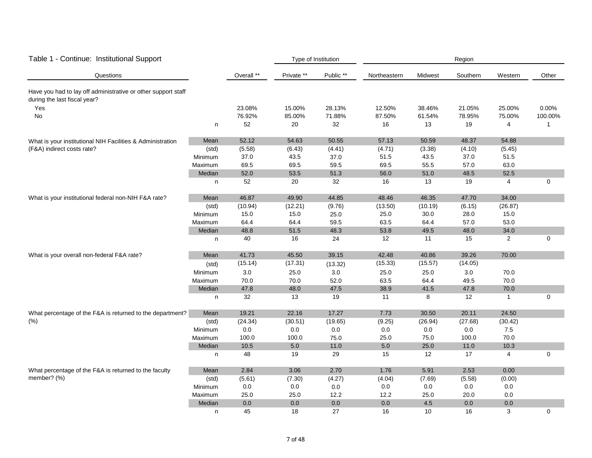| Table 1 - Continue: Institutional Support                                                     |         |            |            | Type of Institution |              | Region  |          |                |             |  |  |
|-----------------------------------------------------------------------------------------------|---------|------------|------------|---------------------|--------------|---------|----------|----------------|-------------|--|--|
| Questions                                                                                     |         | Overall ** | Private ** | Public **           | Northeastern | Midwest | Southern | Western        | Other       |  |  |
| Have you had to lay off administrative or other support staff<br>during the last fiscal year? |         |            |            |                     |              |         |          |                |             |  |  |
| Yes                                                                                           |         | 23.08%     | 15.00%     | 28.13%              | 12.50%       | 38.46%  | 21.05%   | 25.00%         | 0.00%       |  |  |
| No                                                                                            |         | 76.92%     | 85.00%     | 71.88%              | 87.50%       | 61.54%  | 78.95%   | 75.00%         | 100.00%     |  |  |
|                                                                                               | n       | 52         | 20         | 32                  | 16           | 13      | 19       | 4              | 1           |  |  |
| What is your institutional NIH Facilities & Administration                                    | Mean    | 52.12      | 54.63      | 50.55               | 57.13        | 50.59   | 48.37    | 54.88          |             |  |  |
| (F&A) indirect costs rate?                                                                    | (std)   | (5.58)     | (6.43)     | (4.41)              | (4.71)       | (3.38)  | (4.10)   | (5.45)         |             |  |  |
|                                                                                               | Minimum | 37.0       | 43.5       | 37.0                | 51.5         | 43.5    | 37.0     | 51.5           |             |  |  |
|                                                                                               | Maximum | 69.5       | 69.5       | 59.5                | 69.5         | 55.5    | 57.0     | 63.0           |             |  |  |
|                                                                                               | Median  | 52.0       | 53.5       | 51.3                | 56.0         | 51.0    | 48.5     | 52.5           |             |  |  |
|                                                                                               | n       | 52         | 20         | 32                  | 16           | 13      | 19       | 4              | 0           |  |  |
| What is your institutional federal non-NIH F&A rate?                                          | Mean    | 46.87      | 49.90      | 44.85               | 48.46        | 46.35   | 47.70    | 34.00          |             |  |  |
|                                                                                               | (std)   | (10.94)    | (12.21)    | (9.76)              | (13.50)      | (10.19) | (6.15)   | (26.87)        |             |  |  |
|                                                                                               | Minimum | 15.0       | 15.0       | 25.0                | 25.0         | 30.0    | 28.0     | 15.0           |             |  |  |
|                                                                                               | Maximum | 64.4       | 64.4       | 59.5                | 63.5         | 64.4    | 57.0     | 53.0           |             |  |  |
|                                                                                               | Median  | 48.8       | 51.5       | 48.3                | 53.8         | 49.5    | 48.0     | 34.0           |             |  |  |
|                                                                                               | n       | 40         | 16         | 24                  | 12           | 11      | 15       | $\overline{c}$ | $\mathbf 0$ |  |  |
| What is your overall non-federal F&A rate?                                                    | Mean    | 41.73      | 45.50      | 39.15               | 42.48        | 40.86   | 39.26    | 70.00          |             |  |  |
|                                                                                               | (std)   | (15.14)    | (17.31)    | (13.32)             | (15.33)      | (15.57) | (14.05)  |                |             |  |  |
|                                                                                               | Minimum | 3.0        | 25.0       | $3.0\,$             | 25.0         | 25.0    | 3.0      | 70.0           |             |  |  |
|                                                                                               | Maximum | 70.0       | 70.0       | 52.0                | 63.5         | 64.4    | 49.5     | 70.0           |             |  |  |
|                                                                                               | Median  | 47.8       | 48.0       | 47.5                | 38.9         | 41.5    | 47.8     | 70.0           |             |  |  |
|                                                                                               | n       | 32         | 13         | 19                  | 11           | 8       | 12       | $\mathbf{1}$   | $\mathbf 0$ |  |  |
| What percentage of the F&A is returned to the department?                                     | Mean    | 19.21      | 22.16      | 17.27               | 7.73         | 30.50   | 20.11    | 24.50          |             |  |  |
| (% )                                                                                          | (std)   | (24.34)    | (30.51)    | (19.65)             | (9.25)       | (26.94) | (27.68)  | (30.42)        |             |  |  |
|                                                                                               | Minimum | 0.0        | 0.0        | $0.0\,$             | 0.0          | 0.0     | 0.0      | $7.5$          |             |  |  |
|                                                                                               | Maximum | 100.0      | 100.0      | 75.0                | 25.0         | 75.0    | 100.0    | 70.0           |             |  |  |
|                                                                                               | Median  | 10.5       | 5.0        | 11.0                | $5.0\,$      | 25.0    | 11.0     | 10.3           |             |  |  |
|                                                                                               | n       | 48         | 19         | 29                  | 15           | 12      | 17       | 4              | 0           |  |  |
| What percentage of the F&A is returned to the faculty                                         | Mean    | 2.84       | 3.06       | 2.70                | 1.76         | 5.91    | 2.53     | 0.00           |             |  |  |
| member? (%)                                                                                   | (std)   | (5.61)     | (7.30)     | (4.27)              | (4.04)       | (7.69)  | (5.58)   | (0.00)         |             |  |  |
|                                                                                               | Minimum | $0.0\,$    | $0.0\,$    | $0.0\,$             | $0.0\,$      | $0.0\,$ | $0.0\,$  | $0.0\,$        |             |  |  |
|                                                                                               | Maximum | 25.0       | 25.0       | 12.2                | 12.2         | 25.0    | 20.0     | $0.0\,$        |             |  |  |
|                                                                                               | Median  | 0.0        | 0.0        | 0.0                 | 0.0          | 4.5     | 0.0      | 0.0            |             |  |  |
|                                                                                               | n       | 45         | 18         | 27                  | 16           | 10      | 16       | 3              | $\mathbf 0$ |  |  |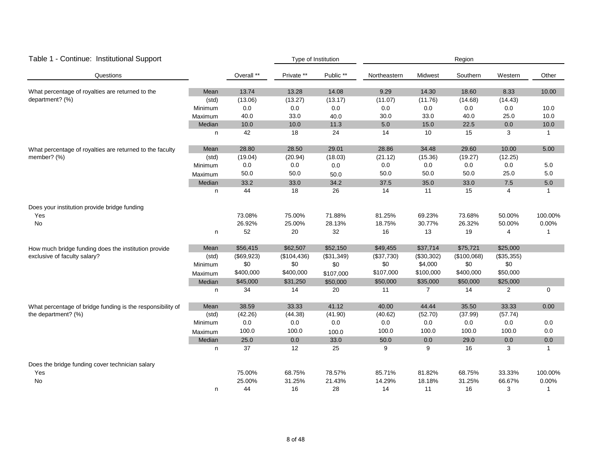| Table 1 - Continue: Institutional Support                  |         |            |             | Type of Institution | Region       |                |             |                |              |  |
|------------------------------------------------------------|---------|------------|-------------|---------------------|--------------|----------------|-------------|----------------|--------------|--|
| Questions                                                  |         | Overall ** | Private **  | Public **           | Northeastern | Midwest        | Southern    | Western        | Other        |  |
| What percentage of royalties are returned to the           | Mean    | 13.74      | 13.28       | 14.08               | 9.29         | 14.30          | 18.60       | 8.33           | 10.00        |  |
| department? (%)                                            | (std)   | (13.06)    | (13.27)     | (13.17)             | (11.07)      | (11.76)        | (14.68)     | (14.43)        |              |  |
|                                                            | Minimum | 0.0        | 0.0         | 0.0                 | 0.0          | 0.0            | 0.0         | 0.0            | 10.0         |  |
|                                                            | Maximum | 40.0       | 33.0        | 40.0                | 30.0         | 33.0           | 40.0        | 25.0           | 10.0         |  |
|                                                            | Median  | 10.0       | 10.0        | 11.3                | 5.0          | 15.0           | 22.5        | 0.0            | 10.0         |  |
|                                                            | n.      | 42         | 18          | 24                  | 14           | 10             | 15          | 3              | $\mathbf{1}$ |  |
| What percentage of royalties are returned to the faculty   | Mean    | 28.80      | 28.50       | 29.01               | 28.86        | 34.48          | 29.60       | 10.00          | 5.00         |  |
| member? (%)                                                | (std)   | (19.04)    | (20.94)     | (18.03)             | (21.12)      | (15.36)        | (19.27)     | (12.25)        |              |  |
|                                                            | Minimum | 0.0        | 0.0         | $0.0\,$             | 0.0          | 0.0            | 0.0         | 0.0            | 5.0          |  |
|                                                            | Maximum | 50.0       | 50.0        | 50.0                | 50.0         | 50.0           | 50.0        | 25.0           | 5.0          |  |
|                                                            | Median  | 33.2       | 33.0        | 34.2                | 37.5         | 35.0           | 33.0        | 7.5            | $5.0\,$      |  |
|                                                            | n.      | 44         | 18          | 26                  | 14           | 11             | 15          | $\overline{4}$ | $\mathbf{1}$ |  |
| Does your institution provide bridge funding               |         |            |             |                     |              |                |             |                |              |  |
| Yes                                                        |         | 73.08%     | 75.00%      | 71.88%              | 81.25%       | 69.23%         | 73.68%      | 50.00%         | 100.00%      |  |
| No                                                         |         | 26.92%     | 25.00%      | 28.13%              | 18.75%       | 30.77%         | 26.32%      | 50.00%         | 0.00%        |  |
|                                                            | n       | 52         | 20          | 32                  | 16           | 13             | 19          | $\overline{4}$ | -1           |  |
| How much bridge funding does the institution provide       | Mean    | \$56,415   | \$62,507    | \$52,150            | \$49,455     | \$37,714       | \$75,721    | \$25,000       |              |  |
| exclusive of faculty salary?                               | (std)   | (\$69,923) | (\$104,436) | (\$31,349)          | (\$37,730)   | (\$30,302)     | (\$100,068) | (\$35,355)     |              |  |
|                                                            | Minimum | \$0        | \$0         | \$0                 | \$0          | \$4,000        | \$0         | \$0            |              |  |
|                                                            | Maximum | \$400,000  | \$400,000   | \$107,000           | \$107,000    | \$100,000      | \$400,000   | \$50,000       |              |  |
|                                                            | Median  | \$45,000   | \$31,250    | \$50,000            | \$50,000     | \$35,000       | \$50,000    | \$25,000       |              |  |
|                                                            | n       | 34         | 14          | 20                  | 11           | $\overline{7}$ | 14          | $\overline{2}$ | $\mathbf 0$  |  |
| What percentage of bridge funding is the responsibility of | Mean    | 38.59      | 33.33       | 41.12               | 40.00        | 44.44          | 35.50       | 33.33          | 0.00         |  |
| the department? (%)                                        | (std)   | (42.26)    | (44.38)     | (41.90)             | (40.62)      | (52.70)        | (37.99)     | (57.74)        |              |  |
|                                                            | Minimum | 0.0        | 0.0         | $0.0\,$             | 0.0          | 0.0            | 0.0         | 0.0            | 0.0          |  |
|                                                            | Maximum | 100.0      | 100.0       | 100.0               | 100.0        | 100.0          | 100.0       | 100.0          | 0.0          |  |
|                                                            | Median  | 25.0       | 0.0         | 33.0                | 50.0         | 0.0            | 29.0        | 0.0            | 0.0          |  |
|                                                            | n       | 37         | 12          | 25                  | 9            | 9              | 16          | 3              | -1           |  |
| Does the bridge funding cover technician salary            |         |            |             |                     |              |                |             |                |              |  |
| Yes                                                        |         | 75.00%     | 68.75%      | 78.57%              | 85.71%       | 81.82%         | 68.75%      | 33.33%         | 100.00%      |  |
| No                                                         |         | 25.00%     | 31.25%      | 21.43%              | 14.29%       | 18.18%         | 31.25%      | 66.67%         | 0.00%        |  |
|                                                            | n       | 44         | 16          | 28                  | 14           | 11             | 16          | 3              | $\mathbf{1}$ |  |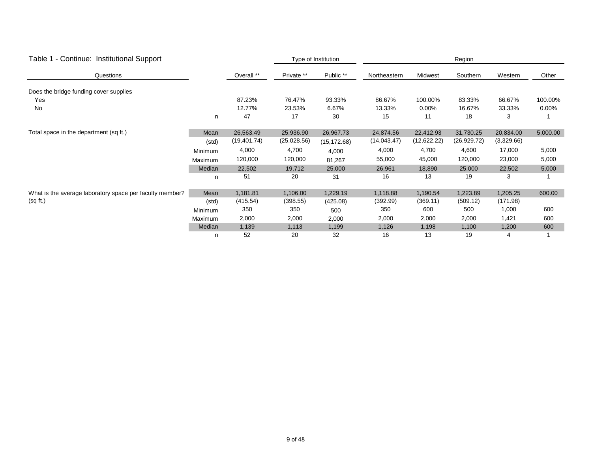| - Continue: Institutional Support<br>Table 1             |         |              |             | Type of Institution |              | Region      |              |            |          |  |  |
|----------------------------------------------------------|---------|--------------|-------------|---------------------|--------------|-------------|--------------|------------|----------|--|--|
| Questions                                                |         | Overall **   | Private **  | Public **           | Northeastern | Midwest     | Southern     | Western    | Other    |  |  |
| Does the bridge funding cover supplies                   |         |              |             |                     |              |             |              |            |          |  |  |
| Yes                                                      |         | 87.23%       | 76.47%      | 93.33%              | 86.67%       | 100.00%     | 83.33%       | 66.67%     | 100.00%  |  |  |
| No                                                       |         | 12.77%       | 23.53%      | 6.67%               | 13.33%       | $0.00\%$    | 16.67%       | 33.33%     | $0.00\%$ |  |  |
|                                                          | n       | 47           | 17          | 30                  | 15           | 11          | 18           | 3          |          |  |  |
| Total space in the department (sq ft.)                   | Mean    | 26,563.49    | 25,936.90   | 26,967.73           | 24,874.56    | 22,412.93   | 31,730.25    | 20,834.00  | 5,000.00 |  |  |
|                                                          | (std)   | (19, 401.74) | (25,028.56) | (15, 172.68)        | (14, 043.47) | (12,622.22) | (26, 929.72) | (3,329.66) |          |  |  |
|                                                          | Minimum | 4,000        | 4,700       | 4,000               | 4,000        | 4,700       | 4,600        | 17,000     | 5,000    |  |  |
|                                                          | Maximum | 120,000      | 120,000     | 81,267              | 55,000       | 45,000      | 120,000      | 23,000     | 5,000    |  |  |
|                                                          | Median  | 22,502       | 19,712      | 25,000              | 26,961       | 18,890      | 25,000       | 22,502     | 5,000    |  |  |
|                                                          | n       | 51           | 20          | 31                  | 16           | 13          | 19           | 3          |          |  |  |
| What is the average laboratory space per faculty member? | Mean    | 1,181.81     | 1,106.00    | 1,229.19            | 1,118.88     | 1,190.54    | 1,223.89     | 1,205.25   | 600.00   |  |  |
| (sq ft.)                                                 | (std)   | (415.54)     | (398.55)    | (425.08)            | (392.99)     | (369.11)    | (509.12)     | (171.98)   |          |  |  |
|                                                          | Minimum | 350          | 350         | 500                 | 350          | 600         | 500          | 1,000      | 600      |  |  |
|                                                          | Maximum | 2,000        | 2,000       | 2,000               | 2,000        | 2,000       | 2,000        | 1,421      | 600      |  |  |
|                                                          | Median  | 1,139        | 1,113       | 1,199               | 1,126        | 1,198       | 1,100        | 1,200      | 600      |  |  |
|                                                          | n       | 52           | 20          | 32                  | 16           | 13          | 19           | 4          |          |  |  |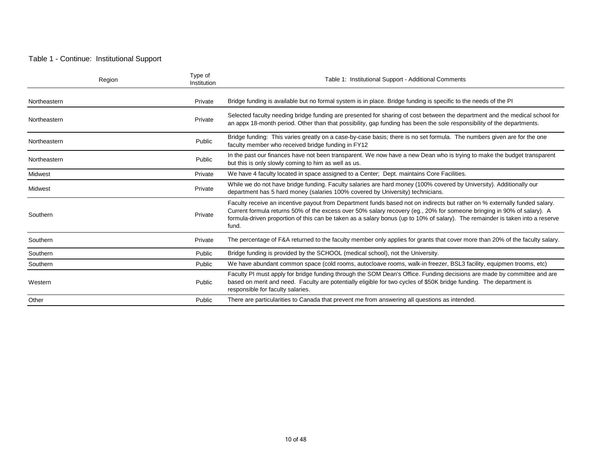#### Table 1 - Continue: Institutional Support

| Region       | Type of<br>Institution | Table 1: Institutional Support - Additional Comments                                                                                                                                                                                                                                                                                                                                           |
|--------------|------------------------|------------------------------------------------------------------------------------------------------------------------------------------------------------------------------------------------------------------------------------------------------------------------------------------------------------------------------------------------------------------------------------------------|
| Northeastern | Private                | Bridge funding is available but no formal system is in place. Bridge funding is specific to the needs of the Pl                                                                                                                                                                                                                                                                                |
| Northeastern | Private                | Selected faculty needing bridge funding are presented for sharing of cost between the department and the medical school for<br>an appx 18-month period. Other than that possibility, gap funding has been the sole responsibility of the departments.                                                                                                                                          |
| Northeastern | Public                 | Bridge funding: This varies greatly on a case-by-case basis; there is no set formula. The numbers given are for the one<br>faculty member who received bridge funding in FY12                                                                                                                                                                                                                  |
| Northeastern | Public                 | In the past our finances have not been transparent. We now have a new Dean who is trying to make the budget transparent<br>but this is only slowly coming to him as well as us.                                                                                                                                                                                                                |
| Midwest      | Private                | We have 4 faculty located in space assigned to a Center; Dept. maintains Core Facilities.                                                                                                                                                                                                                                                                                                      |
| Midwest      | Private                | While we do not have bridge funding. Faculty salaries are hard money (100% covered by University). Additionally our<br>department has 5 hard money (salaries 100% covered by University) technicians.                                                                                                                                                                                          |
| Southern     | Private                | Faculty receive an incentive payout from Department funds based not on indirects but rather on % externally funded salary.<br>Current formula returns 50% of the excess over 50% salary recovery (eg., 20% for someone bringing in 90% of salary). A<br>formula-driven proportion of this can be taken as a salary bonus (up to 10% of salary). The remainder is taken into a reserve<br>fund. |
| Southern     | Private                | The percentage of F&A returned to the faculty member only applies for grants that cover more than 20% of the faculty salary.                                                                                                                                                                                                                                                                   |
| Southern     | Public                 | Bridge funding is provided by the SCHOOL (medical school), not the University.                                                                                                                                                                                                                                                                                                                 |
| Southern     | Public                 | We have abundant common space (cold rooms, autocloave rooms, walk-in freezer, BSL3 facility, equipmen trooms, etc)                                                                                                                                                                                                                                                                             |
| Western      | Public                 | Faculty PI must apply for bridge funding through the SOM Dean's Office. Funding decisions are made by committee and are<br>based on merit and need. Faculty are potentially eligible for two cycles of \$50K bridge funding. The department is<br>responsible for faculty salaries.                                                                                                            |
| Other        | Public                 | There are particularities to Canada that prevent me from answering all questions as intended.                                                                                                                                                                                                                                                                                                  |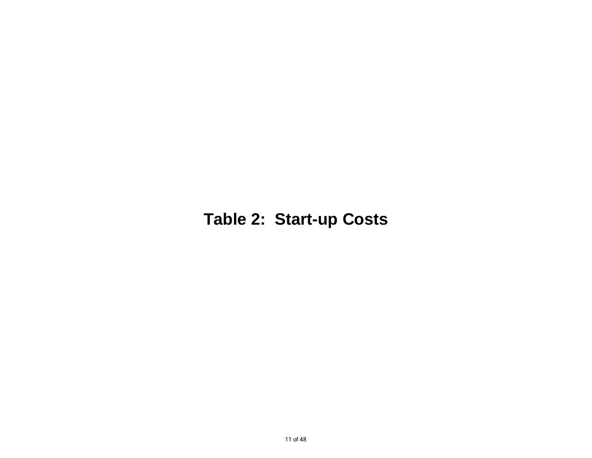# **Table 2: Start-up Costs**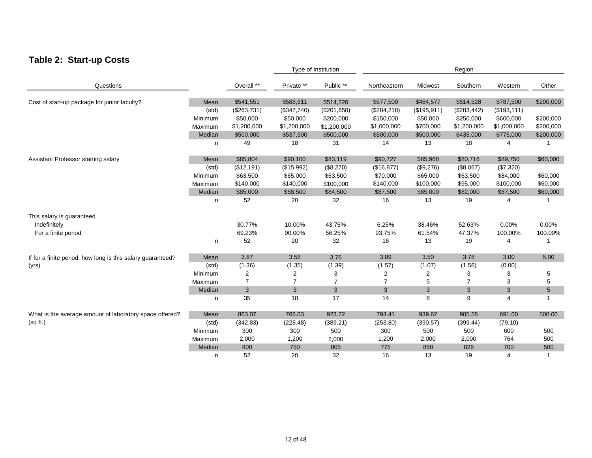### **Table 2: Start-up Costs**

|                                                             |         |                | Type of Institution |                | Region         |             |                |              |                 |
|-------------------------------------------------------------|---------|----------------|---------------------|----------------|----------------|-------------|----------------|--------------|-----------------|
| Questions                                                   |         | Overall **     | Private **          | Public **      | Northeastern   | Midwest     | Southern       | Western      | Other           |
| Cost of start-up package for junior faculty?                | Mean    | \$541,551      | \$588,611           | \$514,226      | \$577,500      | \$464,577   | \$514,528      | \$787,500    | \$200,000       |
|                                                             | (std)   | (\$263,731)    | (\$347,740)         | (\$201,650)    | (\$284, 218)   | (\$195,911) | (\$283,442)    | (\$193, 111) |                 |
|                                                             | Minimum | \$50,000       | \$50,000            | \$200,000      | \$150,000      | \$50,000    | \$250,000      | \$600,000    | \$200,000       |
|                                                             | Maximum | \$1,200,000    | \$1,200,000         | \$1,200,000    | \$1,000,000    | \$700,000   | \$1,200,000    | \$1,000,000  | \$200,000       |
|                                                             | Median  | \$500,000      | \$537,500           | \$500,000      | \$500,000      | \$500,000   | \$435,000      | \$775,000    | \$200,000       |
|                                                             | n       | 49             | 18                  | 31             | 14             | 13          | 18             | 4            |                 |
| Assistant Professor starting salary                         | Mean    | \$85,804       | \$90,100            | \$83,119       | \$90,727       | \$85,968    | \$80,716       | \$89,750     | \$60,000        |
|                                                             | (std)   | (\$12,191)     | (\$15,992)          | (\$8,270)      | (\$16,877)     | (\$9,276)   | (\$8,067)      | (\$7,320)    |                 |
|                                                             | Minimum | \$63,500       | \$65,000            | \$63,500       | \$70,000       | \$65,000    | \$63,500       | \$84,000     | \$60,000        |
|                                                             | Maximum | \$140,000      | \$140,000           | \$100,000      | \$140,000      | \$100,000   | \$95,000       | \$100,000    | \$60,000        |
|                                                             | Median  | \$85,000       | \$88,500            | \$84,500       | \$87,500       | \$85,000    | \$82,000       | \$87,500     | \$60,000        |
|                                                             | n       | 52             | 20                  | 32             | 16             | 13          | 19             | 4            |                 |
| This salary is guaranteed                                   |         |                |                     |                |                |             |                |              |                 |
| Indefinitely                                                |         | 30.77%         | 10.00%              | 43.75%         | 6.25%          | 38.46%      | 52.63%         | 0.00%        | 0.00%           |
| For a finite period                                         |         | 69.23%         | 90.00%              | 56.25%         | 93.75%         | 61.54%      | 47.37%         | 100.00%      | 100.00%         |
|                                                             | n       | 52             | 20                  | 32             | 16             | 13          | 19             | 4            |                 |
| If for a finite period, how long is this salary guaranteed? | Mean    | 3.67           | 3.58                | 3.76           | 3.89           | 3.50        | 3.78           | 3.00         | 5.00            |
| (yrs)                                                       | (std)   | (1.36)         | (1.35)              | (1.39)         | (1.57)         | (1.07)      | (1.56)         | (0.00)       |                 |
|                                                             | Minimum | $\overline{2}$ | $\overline{c}$      | 3              | 2              | 2           | 3              | 3            | 5               |
|                                                             | Maximum | $\overline{7}$ | $\overline{7}$      | $\overline{7}$ | $\overline{7}$ | 5           | $\overline{7}$ | 3            | 5               |
|                                                             | Median  | $\mathbf{3}$   | 3                   | 3              | 3              | 3           | 3              | 3            | $5\phantom{.0}$ |
|                                                             | n       | 35             | 18                  | 17             | 14             | 8           | 9              | 4            | $\mathbf{1}$    |
| What is the average amount of laboratory space offered?     | Mean    | 863.07         | 766.03              | 923.72         | 793.41         | 939.62      | 905.58         | 691.00       | 500.00          |
| (sq ft.)                                                    | (std)   | (342.83)       | (228.48)            | (389.21)       | (253.80)       | (390.57)    | (399.44)       | (79.10)      |                 |
|                                                             | Minimum | 300            | 300                 | 500            | 300            | 500         | 500            | 600          | 500             |
|                                                             | Maximum | 2,000          | 1,200               | 2,000          | 1,200          | 2,000       | 2,000          | 764          | 500             |
|                                                             | Median  | 800            | 750                 | 805            | 775            | 850         | 826            | 700          | 500             |
|                                                             | n       | 52             | 20                  | 32             | 16             | 13          | 19             | 4            | $\mathbf 1$     |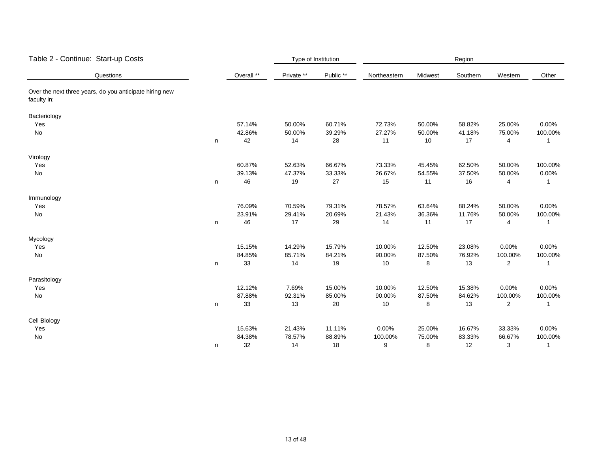| Table 2 - Continue: Start-up Costs                                     |   |            | Type of Institution |           | Region       |         |          |                |              |  |
|------------------------------------------------------------------------|---|------------|---------------------|-----------|--------------|---------|----------|----------------|--------------|--|
| Questions                                                              |   | Overall ** | Private **          | Public ** | Northeastern | Midwest | Southern | Western        | Other        |  |
| Over the next three years, do you anticipate hiring new<br>faculty in: |   |            |                     |           |              |         |          |                |              |  |
| Bacteriology                                                           |   |            |                     |           |              |         |          |                |              |  |
| Yes                                                                    |   | 57.14%     | 50.00%              | 60.71%    | 72.73%       | 50.00%  | 58.82%   | 25.00%         | 0.00%        |  |
| No                                                                     |   | 42.86%     | 50.00%              | 39.29%    | 27.27%       | 50.00%  | 41.18%   | 75.00%         | 100.00%      |  |
|                                                                        | n | 42         | 14                  | 28        | 11           | 10      | 17       | 4              | 1            |  |
| Virology                                                               |   |            |                     |           |              |         |          |                |              |  |
| Yes                                                                    |   | 60.87%     | 52.63%              | 66.67%    | 73.33%       | 45.45%  | 62.50%   | 50.00%         | 100.00%      |  |
| No                                                                     |   | 39.13%     | 47.37%              | 33.33%    | 26.67%       | 54.55%  | 37.50%   | 50.00%         | 0.00%        |  |
|                                                                        | n | 46         | 19                  | 27        | 15           | 11      | 16       | $\overline{4}$ | $\mathbf{1}$ |  |
| Immunology                                                             |   |            |                     |           |              |         |          |                |              |  |
| Yes                                                                    |   | 76.09%     | 70.59%              | 79.31%    | 78.57%       | 63.64%  | 88.24%   | 50.00%         | 0.00%        |  |
| No                                                                     |   | 23.91%     | 29.41%              | 20.69%    | 21.43%       | 36.36%  | 11.76%   | 50.00%         | 100.00%      |  |
|                                                                        | n | 46         | $17$                | 29        | 14           | 11      | 17       | $\overline{4}$ | 1            |  |
| Mycology                                                               |   |            |                     |           |              |         |          |                |              |  |
| Yes                                                                    |   | 15.15%     | 14.29%              | 15.79%    | 10.00%       | 12.50%  | 23.08%   | 0.00%          | 0.00%        |  |
| No                                                                     |   | 84.85%     | 85.71%              | 84.21%    | 90.00%       | 87.50%  | 76.92%   | 100.00%        | 100.00%      |  |
|                                                                        | n | 33         | 14                  | 19        | 10           | 8       | 13       | $\overline{2}$ | $\mathbf{1}$ |  |
| Parasitology                                                           |   |            |                     |           |              |         |          |                |              |  |
| Yes                                                                    |   | 12.12%     | 7.69%               | 15.00%    | 10.00%       | 12.50%  | 15.38%   | 0.00%          | 0.00%        |  |
| No                                                                     |   | 87.88%     | 92.31%              | 85.00%    | 90.00%       | 87.50%  | 84.62%   | 100.00%        | 100.00%      |  |
|                                                                        | n | 33         | 13                  | 20        | 10           | 8       | 13       | 2              | $\mathbf{1}$ |  |
| Cell Biology                                                           |   |            |                     |           |              |         |          |                |              |  |
| Yes                                                                    |   | 15.63%     | 21.43%              | 11.11%    | 0.00%        | 25.00%  | 16.67%   | 33.33%         | 0.00%        |  |
| No                                                                     |   | 84.38%     | 78.57%              | 88.89%    | 100.00%      | 75.00%  | 83.33%   | 66.67%         | 100.00%      |  |
|                                                                        | n | 32         | 14                  | 18        | 9            | 8       | 12       | 3              | $\mathbf{1}$ |  |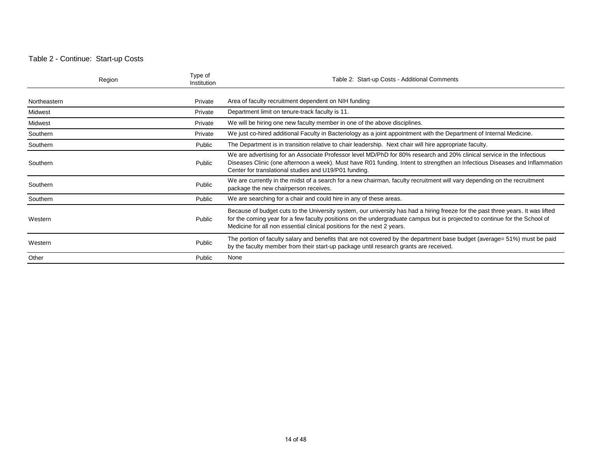#### Table 2 - Continue: Start-up Costs

| Region       | Type of<br>Institution | Table 2: Start-up Costs - Additional Comments                                                                                                                                                                                                                                                                                            |
|--------------|------------------------|------------------------------------------------------------------------------------------------------------------------------------------------------------------------------------------------------------------------------------------------------------------------------------------------------------------------------------------|
| Northeastern | Private                | Area of faculty recruitment dependent on NIH funding                                                                                                                                                                                                                                                                                     |
| Midwest      | Private                | Department limit on tenure-track faculty is 11.                                                                                                                                                                                                                                                                                          |
| Midwest      | Private                | We will be hiring one new faculty member in one of the above disciplines.                                                                                                                                                                                                                                                                |
| Southern     | Private                | We just co-hired additional Faculty in Bacteriology as a joint appointment with the Department of Internal Medicine.                                                                                                                                                                                                                     |
| Southern     | Public                 | The Department is in transition relative to chair leadership. Next chair will hire appropriate faculty.                                                                                                                                                                                                                                  |
| Southern     | Public                 | We are advertising for an Associate Professor level MD/PhD for 80% research and 20% clinical service in the Infectious<br>Diseases Clinic (one afternoon a week). Must have R01 funding. Intent to strengthen an Infectious Diseases and Inflammation<br>Center for translational studies and U19/P01 funding.                           |
| Southern     | Public                 | We are currently in the midst of a search for a new chairman, faculty recruitment will vary depending on the recruitment<br>package the new chairperson receives.                                                                                                                                                                        |
| Southern     | Public                 | We are searching for a chair and could hire in any of these areas.                                                                                                                                                                                                                                                                       |
| Western      | Public                 | Because of budget cuts to the University system, our university has had a hiring freeze for the past three years. It was lifted<br>for the coming year for a few faculty positions on the undergraduate campus but is projected to continue for the School of<br>Medicine for all non essential clinical positions for the next 2 years. |
| Western      | Public                 | The portion of faculty salary and benefits that are not covered by the department base budget (average= 51%) must be paid<br>by the faculty member from their start-up package until research grants are received.                                                                                                                       |
| Other        | Public                 | None                                                                                                                                                                                                                                                                                                                                     |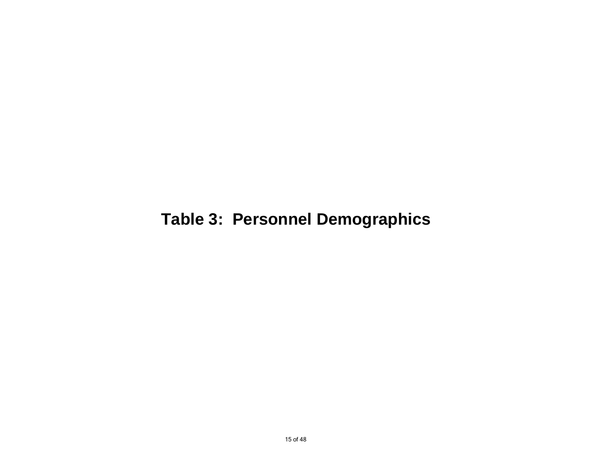# **Table 3: Personnel Demographics**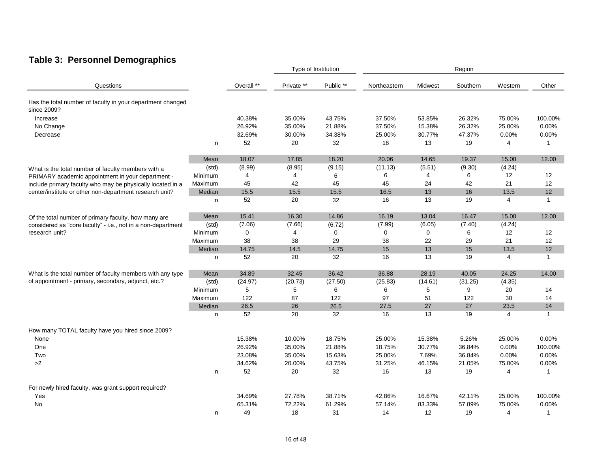## **Table 3: Personnel Demographics**

|                                                                           |         |             | Type of Institution |           |              | Region   |          |                   |                   |  |
|---------------------------------------------------------------------------|---------|-------------|---------------------|-----------|--------------|----------|----------|-------------------|-------------------|--|
| Questions                                                                 |         | Overall **  | Private **          | Public ** | Northeastern | Midwest  | Southern | Western           | Other             |  |
| Has the total number of faculty in your department changed<br>since 2009? |         |             |                     |           |              |          |          |                   |                   |  |
| Increase                                                                  |         | 40.38%      | 35.00%              | 43.75%    | 37.50%       | 53.85%   | 26.32%   | 75.00%            | 100.00%           |  |
| No Change                                                                 |         | 26.92%      | 35.00%              | 21.88%    | 37.50%       | 15.38%   | 26.32%   | 25.00%            | 0.00%             |  |
| Decrease                                                                  |         | 32.69%      | 30.00%              | 34.38%    | 25.00%       | 30.77%   | 47.37%   | 0.00%             | 0.00%             |  |
|                                                                           | n       | 52          | 20                  | 32        | 16           | 13       | 19       | 4                 | $\mathbf{1}$      |  |
|                                                                           | Mean    | 18.07       | 17.85               | 18.20     | 20.06        | 14.65    | 19.37    | 15.00             | 12.00             |  |
| What is the total number of faculty members with a                        | (std)   | (8.99)      | (8.95)              | (9.15)    | (11.13)      | (5.51)   | (9.30)   | (4.24)            |                   |  |
| PRIMARY academic appointment in your department -                         | Minimum | 4           | 4                   | 6         | 6            | 4        | 6        | $12 \overline{ }$ | 12                |  |
| include primary faculty who may be physically located in a                | Maximum | 45          | 42                  | 45        | 45           | 24       | 42       | 21                | 12                |  |
| center/institute or other non-department research unit?                   | Median  | 15.5        | 15.5                | 15.5      | 16.5         | 13       | 16       | 13.5              | 12                |  |
|                                                                           | n       | 52          | 20                  | 32        | 16           | 13       | 19       | $\overline{4}$    | $\overline{1}$    |  |
| Of the total number of primary faculty, how many are                      | Mean    | 15.41       | 16.30               | 14.86     | 16.19        | 13.04    | 16.47    | 15.00             | 12.00             |  |
| considered as "core faculty" - i.e., not in a non-department              | (std)   | (7.06)      | (7.66)              | (6.72)    | (7.99)       | (6.05)   | (7.40)   | (4.24)            |                   |  |
| research unit?                                                            | Minimum | $\mathbf 0$ | 4                   | 0         | 0            | $\Omega$ | 6        | 12                | $12 \overline{ }$ |  |
|                                                                           | Maximum | 38          | 38                  | 29        | 38           | 22       | 29       | 21                | 12                |  |
|                                                                           | Median  | 14.75       | 14.5                | 14.75     | 15           | 13       | 15       | 13.5              | 12                |  |
|                                                                           | n       | 52          | 20                  | 32        | 16           | 13       | 19       | $\overline{4}$    | $\overline{1}$    |  |
| What is the total number of faculty members with any type                 | Mean    | 34.89       | 32.45               | 36.42     | 36.88        | 28.19    | 40.05    | 24.25             | 14.00             |  |
| of appointment - primary, secondary, adjunct, etc.?                       | (std)   | (24.97)     | (20.73)             | (27.50)   | (25.83)      | (14.61)  | (31.25)  | (4.35)            |                   |  |
|                                                                           | Minimum | 5           | 5                   | 6         | 6            | 5        | 9        | 20                | 14                |  |
|                                                                           | Maximum | 122         | 87                  | 122       | 97           | 51       | 122      | 30                | 14                |  |
|                                                                           | Median  | 26.5        | 26                  | 26.5      | 27.5         | $27\,$   | 27       | 23.5              | 14                |  |
|                                                                           | n       | 52          | 20                  | 32        | 16           | 13       | 19       | $\overline{4}$    | $\mathbf{1}$      |  |
| How many TOTAL faculty have you hired since 2009?                         |         |             |                     |           |              |          |          |                   |                   |  |
| None                                                                      |         | 15.38%      | 10.00%              | 18.75%    | 25.00%       | 15.38%   | 5.26%    | 25.00%            | 0.00%             |  |
| One                                                                       |         | 26.92%      | 35.00%              | 21.88%    | 18.75%       | 30.77%   | 36.84%   | 0.00%             | 100.00%           |  |
| Two                                                                       |         | 23.08%      | 35.00%              | 15.63%    | 25.00%       | 7.69%    | 36.84%   | 0.00%             | 0.00%             |  |
| >2                                                                        |         | 34.62%      | 20.00%              | 43.75%    | 31.25%       | 46.15%   | 21.05%   | 75.00%            | 0.00%             |  |
|                                                                           | n       | 52          | 20                  | 32        | 16           | 13       | 19       | 4                 | $\mathbf{1}$      |  |
| For newly hired faculty, was grant support required?                      |         |             |                     |           |              |          |          |                   |                   |  |
| Yes                                                                       |         | 34.69%      | 27.78%              | 38.71%    | 42.86%       | 16.67%   | 42.11%   | 25.00%            | 100.00%           |  |
| No                                                                        |         | 65.31%      | 72.22%              | 61.29%    | 57.14%       | 83.33%   | 57.89%   | 75.00%            | 0.00%             |  |
|                                                                           | n.      | 49          | 18                  | 31        | 14           | 12       | 19       | $\overline{4}$    | $\mathbf{1}$      |  |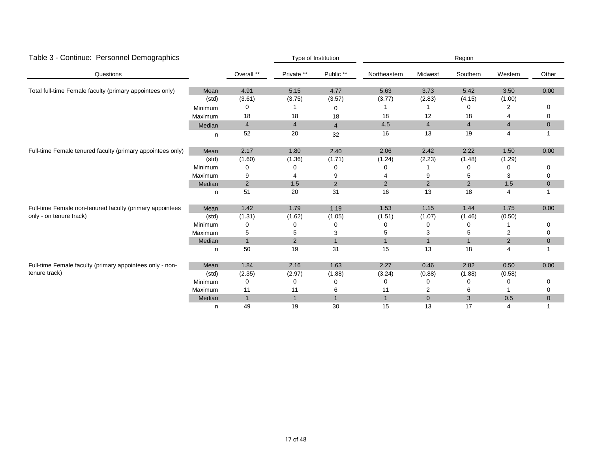| Table 3 - Continue: Personnel Demographics                 |         |                | Type of Institution     |                | Region         |                |                |                         |             |  |
|------------------------------------------------------------|---------|----------------|-------------------------|----------------|----------------|----------------|----------------|-------------------------|-------------|--|
| Questions                                                  |         | Overall **     | Private **              | Public **      | Northeastern   | Midwest        | Southern       | Western                 | Other       |  |
| Total full-time Female faculty (primary appointees only)   | Mean    | 4.91           | 5.15                    | 4.77           | 5.63           | 3.73           | 5.42           | 3.50                    | 0.00        |  |
|                                                            | (std)   | (3.61)         | (3.75)                  | (3.57)         | (3.77)         | (2.83)         | (4.15)         | (1.00)                  |             |  |
|                                                            | Minimum | 0              |                         | 0              |                |                | 0              | 2                       | 0           |  |
|                                                            | Maximum | 18             | 18                      | 18             | 18             | 12             | 18             | 4                       | 0           |  |
|                                                            | Median  | $\overline{4}$ | $\overline{\mathbf{4}}$ | $\overline{4}$ | 4.5            | $\overline{4}$ | $\overline{4}$ | $\overline{\mathbf{4}}$ | $\mathbf 0$ |  |
|                                                            | n       | 52             | 20                      | 32             | 16             | 13             | 19             | 4                       | 1           |  |
| Full-time Female tenured faculty (primary appointees only) | Mean    | 2.17           | 1.80                    | 2.40           | 2.06           | 2.42           | 2.22           | 1.50                    | 0.00        |  |
|                                                            | (std)   | (1.60)         | (1.36)                  | (1.71)         | (1.24)         | (2.23)         | (1.48)         | (1.29)                  |             |  |
|                                                            | Minimum | 0              |                         | 0              | Ω              |                | 0              | 0                       | 0           |  |
|                                                            | Maximum | 9              |                         | 9              |                | 9              | 5              | 3                       | 0           |  |
|                                                            | Median  | $\overline{2}$ | 1.5                     | $\overline{2}$ | $\overline{2}$ | $\overline{2}$ | $\overline{2}$ | 1.5                     | $\pmb{0}$   |  |
|                                                            | n       | 51             | 20                      | 31             | 16             | 13             | 18             | 4                       |             |  |
| Full-time Female non-tenured faculty (primary appointees   | Mean    | 1.42           | 1.79                    | 1.19           | 1.53           | 1.15           | 1.44           | 1.75                    | 0.00        |  |
| only - on tenure track)                                    | (std)   | (1.31)         | (1.62)                  | (1.05)         | (1.51)         | (1.07)         | (1.46)         | (0.50)                  |             |  |
|                                                            | Minimum | 0              | 0                       | 0              | 0              | 0              | 0              |                         | 0           |  |
|                                                            | Maximum | 5              | 5                       | 3              | 5              | 3              | 5              | 2                       | 0           |  |
|                                                            | Median  | $\overline{1}$ | 2                       | $\mathbf{1}$   | $\mathbf{1}$   | $\mathbf{1}$   | $\mathbf{1}$   | $\overline{2}$          | $\mathbf 0$ |  |
|                                                            | n       | 50             | 19                      | 31             | 15             | 13             | 18             | 4                       |             |  |
| Full-time Female faculty (primary appointees only - non-   | Mean    | 1.84           | 2.16                    | 1.63           | 2.27           | 0.46           | 2.82           | 0.50                    | 0.00        |  |
| tenure track)                                              | (std)   | (2.35)         | (2.97)                  | (1.88)         | (3.24)         | (0.88)         | (1.88)         | (0.58)                  |             |  |
|                                                            | Minimum | 0              | 0                       | 0              | 0              | O              | 0              | 0                       | 0           |  |
|                                                            | Maximum | 11             | 11                      | 6              | 11             | 2              | 6              |                         | 0           |  |
|                                                            | Median  | $\overline{1}$ | $\mathbf{1}$            | $\mathbf{1}$   | $\mathbf{1}$   | $\overline{0}$ | 3              | 0.5                     | $\mathbf 0$ |  |
|                                                            | n       | 49             | 19                      | 30             | 15             | 13             | 17             | 4                       | 1           |  |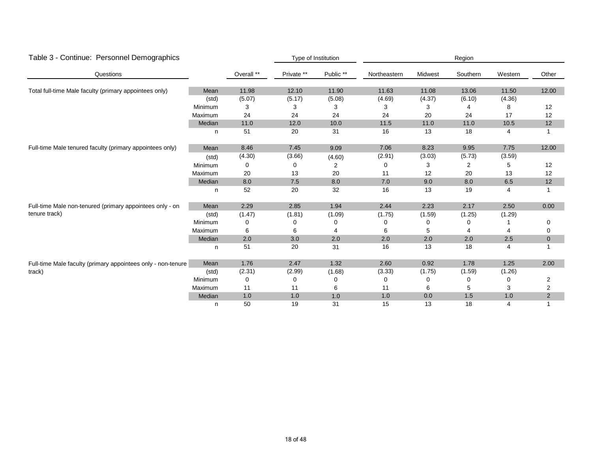| Table 3 - Continue: Personnel Demographics                   |         |            |            | Type of Institution | Region       |         |          |         |                |  |  |
|--------------------------------------------------------------|---------|------------|------------|---------------------|--------------|---------|----------|---------|----------------|--|--|
| Questions                                                    |         | Overall ** | Private ** | Public **           | Northeastern | Midwest | Southern | Western | Other          |  |  |
| Total full-time Male faculty (primary appointees only)       | Mean    | 11.98      | 12.10      | 11.90               | 11.63        | 11.08   | 13.06    | 11.50   | 12.00          |  |  |
|                                                              | (std)   | (5.07)     | (5.17)     | (5.08)              | (4.69)       | (4.37)  | (6.10)   | (4.36)  |                |  |  |
|                                                              | Minimum | 3          | 3          | 3                   | 3            | З       | 4        | 8       | 12             |  |  |
|                                                              | Maximum | 24         | 24         | 24                  | 24           | 20      | 24       | 17      | 12             |  |  |
|                                                              | Median  | 11.0       | 12.0       | 10.0                | 11.5         | 11.0    | 11.0     | 10.5    | 12             |  |  |
|                                                              | n       | 51         | 20         | 31                  | 16           | 13      | 18       | 4       |                |  |  |
| Full-time Male tenured faculty (primary appointees only)     | Mean    | 8.46       | 7.45       | 9.09                | 7.06         | 8.23    | 9.95     | 7.75    | 12.00          |  |  |
|                                                              | (std)   | (4.30)     | (3.66)     | (4.60)              | (2.91)       | (3.03)  | (5.73)   | (3.59)  |                |  |  |
|                                                              | Minimum | $\Omega$   | 0          | 2                   | 0            | 3       | 2        | 5       | 12             |  |  |
|                                                              | Maximum | 20         | 13         | 20                  | 11           | 12      | 20       | 13      | 12             |  |  |
|                                                              | Median  | 8.0        | 7.5        | 8.0                 | 7.0          | $9.0\,$ | $8.0\,$  | 6.5     | 12             |  |  |
|                                                              | n       | 52         | 20         | 32                  | 16           | 13      | 19       | 4       |                |  |  |
| Full-time Male non-tenured (primary appointees only - on     | Mean    | 2.29       | 2.85       | 1.94                | 2.44         | 2.23    | 2.17     | 2.50    | 0.00           |  |  |
| tenure track)                                                | (std)   | (1.47)     | (1.81)     | (1.09)              | (1.75)       | (1.59)  | (1.25)   | (1.29)  |                |  |  |
|                                                              | Minimum | 0          |            | 0                   | 0            | 0       | 0        |         | 0              |  |  |
|                                                              | Maximum | 6          | 6          | 4                   | 6            | 5       | 4        | 4       | 0              |  |  |
|                                                              | Median  | 2.0        | 3.0        | 2.0                 | 2.0          | 2.0     | 2.0      | 2.5     | $\mathbf 0$    |  |  |
|                                                              | n       | 51         | 20         | 31                  | 16           | 13      | 18       | 4       |                |  |  |
| Full-time Male faculty (primary appointees only - non-tenure | Mean    | 1.76       | 2.47       | 1.32                | 2.60         | 0.92    | 1.78     | 1.25    | 2.00           |  |  |
| track)                                                       | (std)   | (2.31)     | (2.99)     | (1.68)              | (3.33)       | (1.75)  | (1.59)   | (1.26)  |                |  |  |
|                                                              | Minimum | 0          | 0          | 0                   | 0            | 0       | 0        | 0       | 2              |  |  |
|                                                              | Maximum | 11         | 11         | 6                   | 11           | 6       | 5        | 3       | 2              |  |  |
|                                                              | Median  | 1.0        | 1.0        | 1.0                 | 1.0          | 0.0     | 1.5      | 1.0     | $\overline{2}$ |  |  |
|                                                              | n       | 50         | 19         | 31                  | 15           | 13      | 18       | 4       |                |  |  |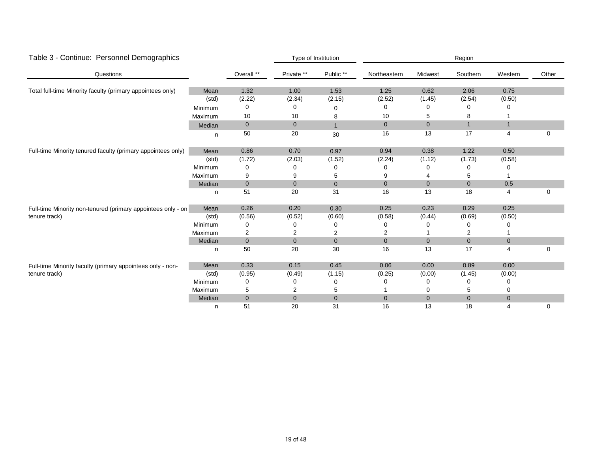| Table 3 - Continue: Personnel Demographics                   |         |              |                | Type of Institution |                |                | Region       |                |             |
|--------------------------------------------------------------|---------|--------------|----------------|---------------------|----------------|----------------|--------------|----------------|-------------|
| Questions                                                    |         | Overall **   | Private **     | Public **           | Northeastern   | Midwest        | Southern     | Western        | Other       |
| Total full-time Minority faculty (primary appointees only)   | Mean    | 1.32         | 1.00           | 1.53                | 1.25           | 0.62           | 2.06         | 0.75           |             |
|                                                              | (std)   | (2.22)       | (2.34)         | (2.15)              | (2.52)         | (1.45)         | (2.54)       | (0.50)         |             |
|                                                              | Minimum | 0            | 0              | 0                   | 0              |                | 0            | 0              |             |
|                                                              | Maximum | 10           | 10             | 8                   | 10             | 5              | 8            |                |             |
|                                                              | Median  | $\mathbf 0$  | $\mathbf 0$    | $\mathbf{1}$        | $\mathbf{0}$   | $\mathbf{0}$   | $\mathbf{1}$ | $\mathbf{1}$   |             |
|                                                              | n       | 50           | 20             | 30                  | 16             | 13             | 17           | 4              | 0           |
| Full-time Minority tenured faculty (primary appointees only) | Mean    | 0.86         | 0.70           | 0.97                | 0.94           | 0.38           | 1.22         | 0.50           |             |
|                                                              | (std)   | (1.72)       | (2.03)         | (1.52)              | (2.24)         | (1.12)         | (1.73)       | (0.58)         |             |
|                                                              | Minimum | 0            |                | 0                   | 0              |                | 0            | 0              |             |
|                                                              | Maximum | 9            | 9              | 5                   | 9              |                | 5            |                |             |
|                                                              | Median  | $\mathbf 0$  | $\mathbf 0$    | $\overline{0}$      | $\overline{0}$ | $\overline{0}$ | $\mathbf{0}$ | 0.5            |             |
|                                                              | n       | 51           | 20             | 31                  | 16             | 13             | 18           | 4              | $\mathbf 0$ |
| Full-time Minority non-tenured (primary appointees only - on | Mean    | 0.26         | 0.20           | 0.30                | 0.25           | 0.23           | 0.29         | 0.25           |             |
| tenure track)                                                | (std)   | (0.56)       | (0.52)         | (0.60)              | (0.58)         | (0.44)         | (0.69)       | (0.50)         |             |
|                                                              | Minimum | 0            | 0              | 0                   | 0              |                | 0            | 0              |             |
|                                                              | Maximum | 2            | 2              | 2                   | $\overline{c}$ |                | 2            |                |             |
|                                                              | Median  | $\pmb{0}$    | $\mathbf{0}$   | $\mathbf 0$         | $\mathbf{0}$   | $\overline{0}$ | $\mathbf 0$  | $\mathbf 0$    |             |
|                                                              | n       | 50           | 20             | 30                  | 16             | 13             | 17           | 4              | 0           |
| Full-time Minority faculty (primary appointees only - non-   | Mean    | 0.33         | 0.15           | 0.45                | 0.06           | 0.00           | 0.89         | 0.00           |             |
| tenure track)                                                | (std)   | (0.95)       | (0.49)         | (1.15)              | (0.25)         | (0.00)         | (1.45)       | (0.00)         |             |
|                                                              | Minimum | 0            |                | 0                   |                |                | 0            | 0              |             |
|                                                              | Maximum | 5            | 2              | 5                   |                | 0              | 5            | 0              |             |
|                                                              | Median  | $\mathbf{0}$ | $\overline{0}$ | $\mathbf{0}$        | $\mathbf{0}$   | $\overline{0}$ | $\mathbf{0}$ | $\overline{0}$ |             |
|                                                              | n       | 51           | 20             | 31                  | 16             | 13             | 18           | 4              | 0           |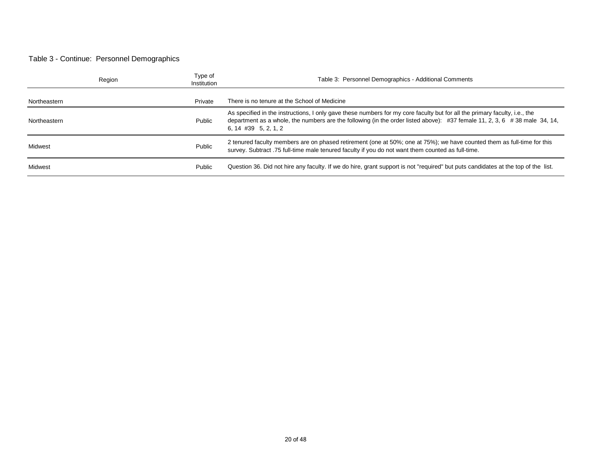#### Table 3 - Continue: Personnel Demographics

|              | Region | Type of<br>Institution | Table 3: Personnel Demographics - Additional Comments                                                                                                                                                                                                                             |
|--------------|--------|------------------------|-----------------------------------------------------------------------------------------------------------------------------------------------------------------------------------------------------------------------------------------------------------------------------------|
| Northeastern |        | Private                | There is no tenure at the School of Medicine                                                                                                                                                                                                                                      |
| Northeastern |        | Public                 | As specified in the instructions, I only gave these numbers for my core faculty but for all the primary faculty, i.e., the<br>department as a whole, the numbers are the following (in the order listed above): #37 female 11, 2, 3, 6 #38 male 34, 14,<br>$6, 14$ #39 5, 2, 1, 2 |
| Midwest      |        | Public                 | 2 tenured faculty members are on phased retirement (one at 50%; one at 75%); we have counted them as full-time for this<br>survey. Subtract .75 full-time male tenured faculty if you do not want them counted as full-time.                                                      |
| Midwest      |        | Public                 | Question 36. Did not hire any faculty. If we do hire, grant support is not "required" but puts candidates at the top of the list.                                                                                                                                                 |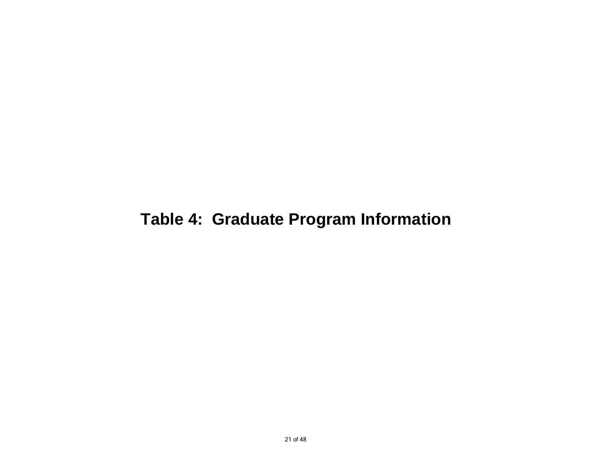# **Table 4: Graduate Program Information**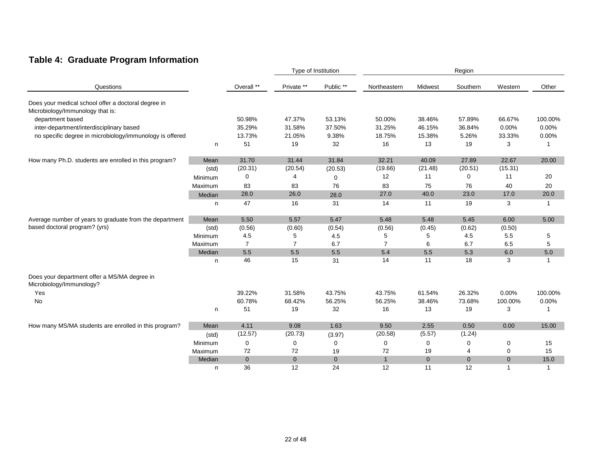## **Table 4: Graduate Program Information**

|                                                                                         |         |                |                | Type of Institution |                |              | Region         |                |              |
|-----------------------------------------------------------------------------------------|---------|----------------|----------------|---------------------|----------------|--------------|----------------|----------------|--------------|
| Questions                                                                               |         | Overall **     | Private **     | Public **           | Northeastern   | Midwest      | Southern       | Western        | Other        |
| Does your medical school offer a doctoral degree in<br>Microbiology/Immunology that is: |         |                |                |                     |                |              |                |                |              |
| department based                                                                        |         | 50.98%         | 47.37%         | 53.13%              | 50.00%         | 38.46%       | 57.89%         | 66.67%         | 100.00%      |
| inter-department/interdisciplinary based                                                |         | 35.29%         | 31.58%         | 37.50%              | 31.25%         | 46.15%       | 36.84%         | 0.00%          | 0.00%        |
| no specific degree in microbiology/immunology is offered                                |         | 13.73%         | 21.05%         | 9.38%               | 18.75%         | 15.38%       | 5.26%          | 33.33%         | 0.00%        |
|                                                                                         | n       | 51             | 19             | 32                  | 16             | 13           | 19             | 3              | 1            |
| How many Ph.D. students are enrolled in this program?                                   | Mean    | 31.70          | 31.44          | 31.84               | 32.21          | 40.09        | 27.89          | 22.67          | 20.00        |
|                                                                                         | (std)   | (20.31)        | (20.54)        | (20.53)             | (19.66)        | (21.48)      | (20.51)        | (15.31)        |              |
|                                                                                         | Minimum | 0              | 4              | $\mathbf 0$         | 12             | 11           | 0              | 11             | 20           |
|                                                                                         | Maximum | 83             | 83             | 76                  | 83             | 75           | 76             | 40             | 20           |
|                                                                                         | Median  | 28.0           | 26.0           | 28.0                | 27.0           | 40.0         | 23.0           | 17.0           | $20.0\,$     |
|                                                                                         | n.      | 47             | 16             | 31                  | 14             | 11           | 19             | 3              | $\mathbf{1}$ |
| Average number of years to graduate from the department                                 | Mean    | 5.50           | 5.57           | 5.47                | 5.48           | 5.48         | 5.45           | 6.00           | 5.00         |
| based doctoral program? (yrs)                                                           | (std)   | (0.56)         | (0.60)         | (0.54)              | (0.56)         | (0.45)       | (0.62)         | (0.50)         |              |
|                                                                                         | Minimum | 4.5            | 5              | 4.5                 | 5              | 5            | 4.5            | 5.5            | 5            |
|                                                                                         | Maximum | $\overline{7}$ | $\overline{7}$ | 6.7                 | $\overline{7}$ | 6            | 6.7            | 6.5            | 5            |
|                                                                                         | Median  | 5.5            | 5.5            | 5.5                 | 5.4            | $5.5\,$      | 5.3            | 6.0            | $5.0\,$      |
|                                                                                         | n       | 46             | 15             | 31                  | 14             | 11           | 18             | 3              | $\mathbf{1}$ |
| Does your department offer a MS/MA degree in<br>Microbiology/Immunology?                |         |                |                |                     |                |              |                |                |              |
| Yes                                                                                     |         | 39.22%         | 31.58%         | 43.75%              | 43.75%         | 61.54%       | 26.32%         | 0.00%          | 100.00%      |
| No                                                                                      |         | 60.78%         | 68.42%         | 56.25%              | 56.25%         | 38.46%       | 73.68%         | 100.00%        | 0.00%        |
|                                                                                         | n       | 51             | 19             | 32                  | 16             | 13           | 19             | 3              | 1            |
| How many MS/MA students are enrolled in this program?                                   | Mean    | 4.11           | 9.08           | 1.63                | 9.50           | 2.55         | 0.50           | 0.00           | 15.00        |
|                                                                                         | (std)   | (12.57)        | (20.73)        | (3.97)              | (20.58)        | (5.57)       | (1.24)         |                |              |
|                                                                                         | Minimum | $\mathbf 0$    | 0              | 0                   | 0              | 0            | 0              | 0              | 15           |
|                                                                                         | Maximum | 72             | 72             | 19                  | 72             | 19           | 4              | 0              | 15           |
|                                                                                         | Median  | $\mathbf{0}$   | $\mathbf{0}$   | $\overline{0}$      | $\mathbf{1}$   | $\mathbf{0}$ | $\overline{0}$ | $\overline{0}$ | 15.0         |
|                                                                                         | n       | 36             | 12             | 24                  | 12             | 11           | 12             | 1              | $\mathbf{1}$ |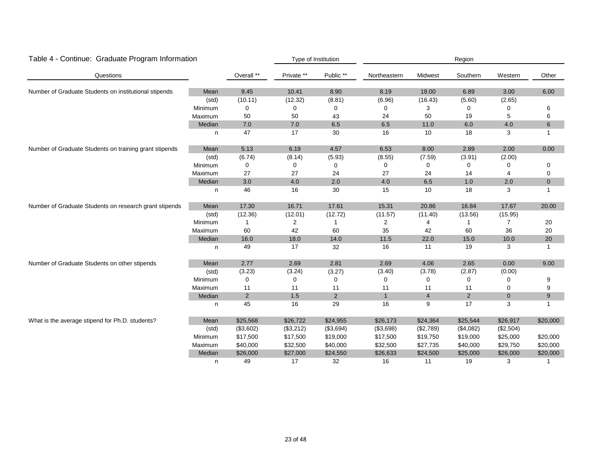| Table 4 - Continue: Graduate Program Information       |         |                |                | Type of Institution |              |                | Region       |                |                |
|--------------------------------------------------------|---------|----------------|----------------|---------------------|--------------|----------------|--------------|----------------|----------------|
| Questions                                              |         | Overall **     | Private **     | Public **           | Northeastern | Midwest        | Southern     | Western        | Other          |
| Number of Graduate Students on institutional stipends  | Mean    | 9.45           | 10.41          | 8.90                | 8.19         | 18.00          | 6.89         | 3.00           | 6.00           |
|                                                        | (std)   | (10.11)        | (12.32)        | (8.81)              | (6.96)       | (16.43)        | (5.60)       | (2.65)         |                |
|                                                        | Minimum | $\mathbf 0$    | 0              | 0                   | 0            | 3              | $\mathbf 0$  | 0              | 6              |
|                                                        | Maximum | 50             | 50             | 43                  | 24           | 50             | 19           | 5              | 6              |
|                                                        | Median  | $7.0$          | 7.0            | 6.5                 | 6.5          | 11.0           | 6.0          | 4.0            | $\,6\,$        |
|                                                        | n       | 47             | 17             | 30                  | 16           | 10             | 18           | 3              | $\overline{1}$ |
| Number of Graduate Students on training grant stipends | Mean    | 5.13           | 6.19           | 4.57                | 6.53         | 8.00           | 2.89         | 2.00           | 0.00           |
|                                                        | (std)   | (6.74)         | (8.14)         | (5.93)              | (8.55)       | (7.59)         | (3.91)       | (2.00)         |                |
|                                                        | Minimum | $\mathbf 0$    | 0              | 0                   | $\Omega$     | 0              | $\mathbf 0$  | 0              | 0              |
|                                                        | Maximum | 27             | 27             | 24                  | 27           | 24             | 14           | 4              | 0              |
|                                                        | Median  | 3.0            | 4.0            | 2.0                 | $4.0\,$      | 6.5            | 1.0          | 2.0            | $\mathbf 0$    |
|                                                        | n       | 46             | 16             | 30                  | 15           | 10             | 18           | 3              | $\overline{1}$ |
| Number of Graduate Students on research grant stipends | Mean    | 17.30          | 16.71          | 17.61               | 15.31        | 20.86          | 16.84        | 17.67          | 20.00          |
|                                                        | (std)   | (12.36)        | (12.01)        | (12.72)             | (11.57)      | (11.40)        | (13.56)      | (15.95)        |                |
|                                                        | Minimum | $\mathbf{1}$   | $\overline{c}$ | $\mathbf{1}$        | 2            | 4              | $\mathbf{1}$ | $\overline{7}$ | $20\,$         |
|                                                        | Maximum | 60             | 42             | 60                  | 35           | 42             | 60           | 36             | 20             |
|                                                        | Median  | 16.0           | 18.0           | 14.0                | 11.5         | 22.0           | 15.0         | 10.0           | $20\,$         |
|                                                        | n       | 49             | 17             | 32                  | 16           | 11             | 19           | 3              | -1             |
| Number of Graduate Students on other stipends          | Mean    | 2.77           | 2.69           | 2.81                | 2.69         | 4.06           | 2.65         | 0.00           | 9.00           |
|                                                        | (std)   | (3.23)         | (3.24)         | (3.27)              | (3.40)       | (3.78)         | (2.87)       | (0.00)         |                |
|                                                        | Minimum | $\pmb{0}$      | 0              | 0                   | 0            | 0              | 0            | 0              | 9              |
|                                                        | Maximum | 11             | 11             | 11                  | 11           | 11             | 11           | 0              | 9              |
|                                                        | Median  | $\overline{2}$ | 1.5            | $\overline{2}$      | $\mathbf{1}$ | $\overline{4}$ | 2            | $\mathbf 0$    | $9\,$          |
|                                                        | n       | 45             | 16             | 29                  | 16           | 9              | 17           | 3              | -1             |
| What is the average stipend for Ph.D. students?        | Mean    | \$25,568       | \$26,722       | \$24,955            | \$26,173     | \$24,364       | \$25,544     | \$26,917       | \$20,000       |
|                                                        | (std)   | (\$3,602)      | (\$3,212)      | (\$3,694)           | (\$3,698)    | (\$2,789)      | (\$4,082)    | (\$2,504)      |                |
|                                                        | Minimum | \$17,500       | \$17,500       | \$19,000            | \$17,500     | \$19,750       | \$19,000     | \$25,000       | \$20,000       |
|                                                        | Maximum | \$40,000       | \$32,500       | \$40,000            | \$32,500     | \$27,735       | \$40,000     | \$29,750       | \$20,000       |
|                                                        | Median  | \$26,000       | \$27,000       | \$24,550            | \$26,633     | \$24,500       | \$25,000     | \$26,000       | \$20,000       |
|                                                        | n       | 49             | 17             | 32                  | 16           | 11             | 19           | 3              | -1             |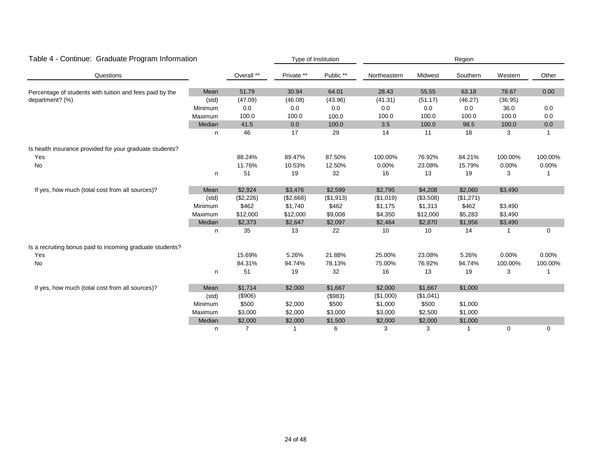| Table 4 - Continue: Graduate Program Information          |         |            |            | Type of Institution |              |           | Region    |         |             |
|-----------------------------------------------------------|---------|------------|------------|---------------------|--------------|-----------|-----------|---------|-------------|
| Questions                                                 |         | Overall ** | Private ** | Public **           | Northeastern | Midwest   | Southern  | Western | Other       |
| Percentage of students with tuition and fees paid by the  | Mean    | 51.79      | 30.94      | 64.01               | 28.43        | 55.55     | 63.18     | 78.67   | 0.00        |
| department? (%)                                           | (std)   | (47.09)    | (46.08)    | (43.96)             | (41.31)      | (51.17)   | (46.27)   | (36.95) |             |
|                                                           | Minimum | 0.0        | 0.0        | 0.0                 | 0.0          | 0.0       | 0.0       | 36.0    | 0.0         |
|                                                           | Maximum | 100.0      | 100.0      | 100.0               | 100.0        | 100.0     | 100.0     | 100.0   | 0.0         |
|                                                           | Median  | 41.5       | 0.0        | 100.0               | 3.5          | 100.0     | 98.5      | 100.0   | 0.0         |
|                                                           | n       | 46         | 17         | 29                  | 14           | 11        | 18        | 3       | 1           |
| Is health insurance provided for your graduate students?  |         |            |            |                     |              |           |           |         |             |
| Yes                                                       |         | 88.24%     | 89.47%     | 87.50%              | 100.00%      | 76.92%    | 84.21%    | 100.00% | 100.00%     |
| No                                                        |         | 11.76%     | 10.53%     | 12.50%              | 0.00%        | 23.08%    | 15.79%    | 0.00%   | 0.00%       |
|                                                           | n       | 51         | 19         | 32                  | 16           | 13        | 19        | 3       | 1           |
| If yes, how much (total cost from all sources)?           | Mean    | \$2,924    | \$3,476    | \$2,599             | \$2,795      | \$4,208   | \$2,060   | \$3,490 |             |
|                                                           | (std)   | (\$2,226)  | (\$2,668)  | (\$1,913)           | (\$1,019)    | (\$3,508) | (\$1,271) |         |             |
|                                                           | Minimum | \$462      | \$1,740    | \$462               | \$1,175      | \$1,313   | \$462     | \$3,490 |             |
|                                                           | Maximum | \$12,000   | \$12,000   | \$9,008             | \$4,350      | \$12,000  | \$5,283   | \$3,490 |             |
|                                                           | Median  | \$2,373    | \$2,647    | \$2,097             | \$2,464      | \$2,870   | \$1,956   | \$3,490 |             |
|                                                           | n       | 35         | 13         | 22                  | 10           | 10        | 14        |         | $\mathbf 0$ |
| Is a recruiting bonus paid to incoming graduate students? |         |            |            |                     |              |           |           |         |             |
| Yes                                                       |         | 15.69%     | 5.26%      | 21.88%              | 25.00%       | 23.08%    | 5.26%     | 0.00%   | 0.00%       |
| No                                                        |         | 84.31%     | 94.74%     | 78.13%              | 75.00%       | 76.92%    | 94.74%    | 100.00% | 100.00%     |
|                                                           | n       | 51         | 19         | 32                  | 16           | 13        | 19        | 3       | -1          |
| If yes, how much (total cost from all sources)?           | Mean    | \$1,714    | \$2,000    | \$1,667             | \$2,000      | \$1,667   | \$1,000   |         |             |
|                                                           | (std)   | (\$906)    |            | (\$983)             | (\$1,000)    | (\$1,041) |           |         |             |
|                                                           | Minimum | \$500      | \$2,000    | \$500               | \$1,000      | \$500     | \$1,000   |         |             |
|                                                           | Maximum | \$3,000    | \$2,000    | \$3,000             | \$3,000      | \$2,500   | \$1,000   |         |             |
|                                                           | Median  | \$2,000    | \$2,000    | \$1,500             | \$2,000      | \$2,000   | \$1,000   |         |             |
|                                                           | n       | 7          |            | 6                   | 3            | 3         | -1        | 0       | 0           |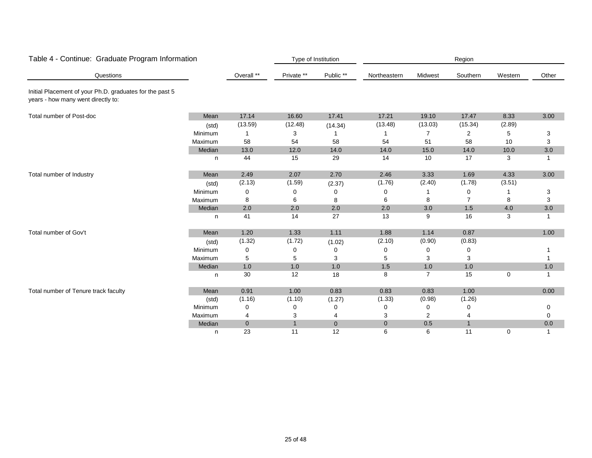| Table 4 - Continue: Graduate Program Information                                               |         |             |              | Type of Institution |              |                | Region       |         |             |
|------------------------------------------------------------------------------------------------|---------|-------------|--------------|---------------------|--------------|----------------|--------------|---------|-------------|
| Questions                                                                                      |         | Overall **  | Private **   | Public **           | Northeastern | Midwest        | Southern     | Western | Other       |
| Initial Placement of your Ph.D. graduates for the past 5<br>years - how many went directly to: |         |             |              |                     |              |                |              |         |             |
| Total number of Post-doc                                                                       | Mean    | 17.14       | 16.60        | 17.41               | 17.21        | 19.10          | 17.47        | 8.33    | 3.00        |
|                                                                                                | (std)   | (13.59)     | (12.48)      | (14.34)             | (13.48)      | (13.03)        | (15.34)      | (2.89)  |             |
|                                                                                                | Minimum |             | 3            |                     |              |                | 2            | 5       | 3           |
|                                                                                                | Maximum | 58          | 54           | 58                  | 54           | 51             | 58           | 10      | 3           |
|                                                                                                | Median  | 13.0        | 12.0         | 14.0                | 14.0         | 15.0           | 14.0         | 10.0    | 3.0         |
|                                                                                                | n       | 44          | 15           | 29                  | 14           | 10             | 17           | 3       | $\mathbf 1$ |
| Total number of Industry                                                                       | Mean    | 2.49        | 2.07         | 2.70                | 2.46         | 3.33           | 1.69         | 4.33    | 3.00        |
|                                                                                                | (std)   | (2.13)      | (1.59)       | (2.37)              | (1.76)       | (2.40)         | (1.78)       | (3.51)  |             |
|                                                                                                | Minimum | 0           | $\Omega$     | 0                   | 0            |                | 0            |         | 3           |
|                                                                                                | Maximum | 8           | 6            | 8                   | 6            | 8              | 7            | 8       | 3           |
|                                                                                                | Median  | 2.0         | 2.0          | 2.0                 | 2.0          | 3.0            | 1.5          | 4.0     | 3.0         |
|                                                                                                | n       | 41          | 14           | 27                  | 13           | 9              | 16           | 3       | -1          |
| Total number of Gov't                                                                          | Mean    | 1.20        | 1.33         | 1.11                | 1.88         | 1.14           | 0.87         |         | 1.00        |
|                                                                                                | (std)   | (1.32)      | (1.72)       | (1.02)              | (2.10)       | (0.90)         | (0.83)       |         |             |
|                                                                                                | Minimum | 0           | 0            | 0                   | 0            | 0              | 0            |         |             |
|                                                                                                | Maximum | 5           | 5            | 3                   | 5            | 3              | 3            |         |             |
|                                                                                                | Median  | 1.0         | 1.0          | 1.0                 | 1.5          | $1.0$          | 1.0          |         | 1.0         |
|                                                                                                | n       | 30          | 12           | 18                  | 8            | $\overline{7}$ | 15           | 0       | -1          |
| Total number of Tenure track faculty                                                           | Mean    | 0.91        | 1.00         | 0.83                | 0.83         | 0.83           | 1.00         |         | 0.00        |
|                                                                                                | (std)   | (1.16)      | (1.10)       | (1.27)              | (1.33)       | (0.98)         | (1.26)       |         |             |
|                                                                                                | Minimum | 0           | 0            | 0                   | 0            | 0              | 0            |         | 0           |
|                                                                                                | Maximum | 4           | 3            | 4                   | 3            | 2              | 4            |         | $\Omega$    |
|                                                                                                | Median  | $\mathbf 0$ | $\mathbf{1}$ | $\overline{0}$      | $\pmb{0}$    | 0.5            | $\mathbf{1}$ |         | 0.0         |
|                                                                                                | n       | 23          | 11           | 12                  | 6            | 6              | 11           | 0       | -1          |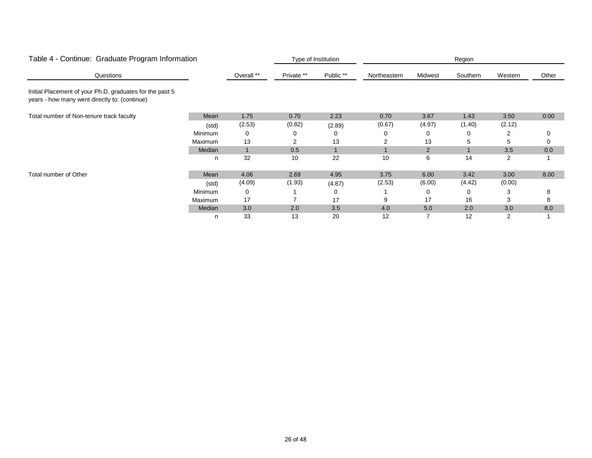|                                                                                                           | Table 4 - Continue: Graduate Program Information |            |            | Type of Institution<br>Region |              |                |          |         |       |  |
|-----------------------------------------------------------------------------------------------------------|--------------------------------------------------|------------|------------|-------------------------------|--------------|----------------|----------|---------|-------|--|
| Questions                                                                                                 |                                                  | Overall ** | Private ** | Public **                     | Northeastern | Midwest        | Southern | Western | Other |  |
| Initial Placement of your Ph.D. graduates for the past 5<br>years - how many went directly to: (continue) |                                                  |            |            |                               |              |                |          |         |       |  |
| Total number of Non-tenure track faculty                                                                  | Mean                                             | 1.75       | 0.70       | 2.23                          | 0.70         | 3.67           | 1.43     | 3.50    | 0.00  |  |
|                                                                                                           | (std)                                            | (2.53)     | (0.82)     | (2.89)                        | (0.67)       | (4.97)         | (1.40)   | (2.12)  |       |  |
|                                                                                                           | Minimum                                          | 0          | 0          | 0                             |              | 0              | 0        | 2       | 0     |  |
|                                                                                                           | Maximum                                          | 13         |            | 13                            | 2            | 13             | 5        | 5       | 0     |  |
|                                                                                                           | Median                                           |            | 0.5        |                               |              | $\overline{2}$ |          | 3.5     | 0.0   |  |
|                                                                                                           | n                                                | 32         | 10         | 22                            | 10           | 6              | 14       | 2       |       |  |
| Total number of Other                                                                                     | Mean                                             | 4.06       | 2.69       | 4.95                          | 3.75         | 6.00           | 3.42     | 3.00    | 8.00  |  |
|                                                                                                           | (std)                                            | (4.09)     | (1.93)     | (4.87)                        | (2.53)       | (6.00)         | (4.42)   | (0.00)  |       |  |
|                                                                                                           | Minimum                                          | 0          |            | 0                             |              | 0              | 0        | 3       | 8     |  |
|                                                                                                           | Maximum                                          | 17         |            | 17                            | 9            | 17             | 16       | 3       | 8     |  |
|                                                                                                           | Median                                           | 3.0        | 2.0        | 3.5                           | 4.0          | 5.0            | 2.0      | 3.0     | 8.0   |  |
|                                                                                                           | n                                                | 33         | 13         | 20                            | 12           |                | 12       |         |       |  |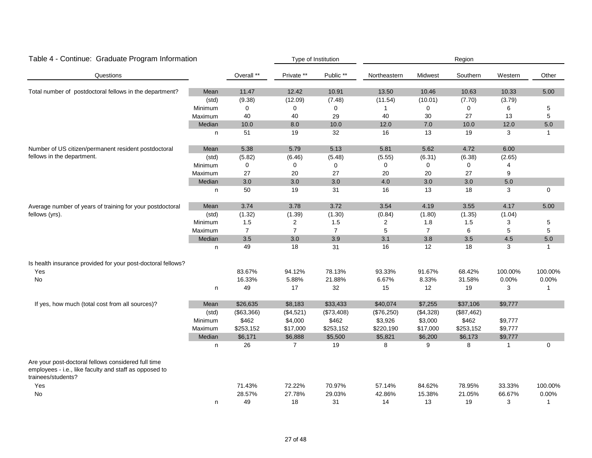| Table 4 - Continue: Graduate Program Information                                                                                    |         |                |                | Type of Institution | Region       |                |            |              |              |
|-------------------------------------------------------------------------------------------------------------------------------------|---------|----------------|----------------|---------------------|--------------|----------------|------------|--------------|--------------|
| Questions                                                                                                                           |         | Overall **     | Private **     | Public **           | Northeastern | Midwest        | Southern   | Western      | Other        |
| Total number of postdoctoral fellows in the department?                                                                             | Mean    | 11.47          | 12.42          | 10.91               | 13.50        | 10.46          | 10.63      | 10.33        | 5.00         |
|                                                                                                                                     | (std)   | (9.38)         | (12.09)        | (7.48)              | (11.54)      | (10.01)        | (7.70)     | (3.79)       |              |
|                                                                                                                                     | Minimum | $\mathbf 0$    | $\mathbf 0$    | $\pmb{0}$           | 1            | $\Omega$       | 0          | 6            | 5            |
|                                                                                                                                     | Maximum | 40             | 40             | 29                  | 40           | 30             | 27         | 13           | 5            |
|                                                                                                                                     | Median  | 10.0           | $8.0\,$        | 10.0                | 12.0         | $7.0$          | 10.0       | 12.0         | 5.0          |
|                                                                                                                                     | n       | 51             | 19             | 32                  | 16           | 13             | 19         | 3            | $\mathbf{1}$ |
| Number of US citizen/permanent resident postdoctoral                                                                                | Mean    | 5.38           | 5.79           | 5.13                | 5.81         | 5.62           | 4.72       | 6.00         |              |
| fellows in the department.                                                                                                          | (std)   | (5.82)         | (6.46)         | (5.48)              | (5.55)       | (6.31)         | (6.38)     | (2.65)       |              |
|                                                                                                                                     | Minimum | $\mathbf 0$    | 0              | 0                   | 0            | $\Omega$       | 0          | 4            |              |
|                                                                                                                                     | Maximum | 27             | 20             | 27                  | 20           | 20             | 27         | 9            |              |
|                                                                                                                                     | Median  | $3.0\,$        | 3.0            | 3.0                 | 4.0          | $3.0\,$        | $3.0\,$    | $5.0\,$      |              |
|                                                                                                                                     | n       | 50             | 19             | 31                  | 16           | 13             | 18         | 3            | $\mathbf 0$  |
| Average number of years of training for your postdoctoral                                                                           | Mean    | 3.74           | 3.78           | 3.72                | 3.54         | 4.19           | 3.55       | 4.17         | 5.00         |
| fellows (yrs).                                                                                                                      | (std)   | (1.32)         | (1.39)         | (1.30)              | (0.84)       | (1.80)         | (1.35)     | (1.04)       |              |
|                                                                                                                                     | Minimum | 1.5            | $\overline{2}$ | 1.5                 | 2            | 1.8            | 1.5        | 3            | 5            |
|                                                                                                                                     | Maximum | $\overline{7}$ | $\overline{7}$ | $\overline{7}$      | 5            | $\overline{7}$ | 6          | 5            | $\sqrt{5}$   |
|                                                                                                                                     | Median  | 3.5            | 3.0            | 3.9                 | 3.1          | 3.8            | 3.5        | 4.5          | 5.0          |
|                                                                                                                                     | n       | 49             | 18             | 31                  | 16           | 12             | 18         | 3            | $\mathbf{1}$ |
| Is health insurance provided for your post-doctoral fellows?                                                                        |         |                |                |                     |              |                |            |              |              |
| Yes                                                                                                                                 |         | 83.67%         | 94.12%         | 78.13%              | 93.33%       | 91.67%         | 68.42%     | 100.00%      | 100.00%      |
| No                                                                                                                                  |         | 16.33%         | 5.88%          | 21.88%              | 6.67%        | 8.33%          | 31.58%     | 0.00%        | 0.00%        |
|                                                                                                                                     | n       | 49             | 17             | 32                  | 15           | 12             | 19         | 3            | $\mathbf{1}$ |
| If yes, how much (total cost from all sources)?                                                                                     | Mean    | \$26,635       | \$8,183        | \$33,433            | \$40,074     | \$7,255        | \$37,106   | \$9,777      |              |
|                                                                                                                                     | (std)   | (\$63,366)     | (\$4,521)      | (\$73,408)          | (\$76,250)   | (\$4,328)      | (\$87,462) |              |              |
|                                                                                                                                     | Minimum | \$462          | \$4,000        | \$462               | \$3,926      | \$3,000        | \$462      | \$9,777      |              |
|                                                                                                                                     | Maximum | \$253,152      | \$17,000       | \$253,152           | \$220,190    | \$17,000       | \$253,152  | \$9,777      |              |
|                                                                                                                                     | Median  | \$6,171        | \$6,888        | \$5,500             | \$5,821      | \$6,200        | \$6,173    | \$9,777      |              |
|                                                                                                                                     | n       | 26             | $\overline{7}$ | 19                  | 8            | 9              | 8          | $\mathbf{1}$ | 0            |
| Are your post-doctoral fellows considered full time<br>employees - i.e., like faculty and staff as opposed to<br>trainees/students? |         |                |                |                     |              |                |            |              |              |
| Yes                                                                                                                                 |         | 71.43%         | 72.22%         | 70.97%              | 57.14%       | 84.62%         | 78.95%     | 33.33%       | 100.00%      |
| <b>No</b>                                                                                                                           |         | 28.57%         | 27.78%         | 29.03%              | 42.86%       | 15.38%         | 21.05%     | 66.67%       | 0.00%        |
|                                                                                                                                     | n       | 49             | 18             | 31                  | 14           | 13             | 19         | 3            | $\mathbf{1}$ |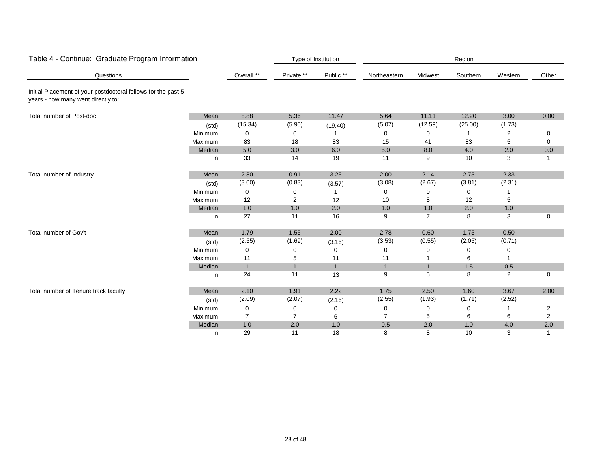| Table 4 - Continue: Graduate Program Information                                                    |         |                |                | Type of Institution |                |              | Region      |                |                |
|-----------------------------------------------------------------------------------------------------|---------|----------------|----------------|---------------------|----------------|--------------|-------------|----------------|----------------|
| Questions                                                                                           |         | Overall **     | Private **     | Public **           | Northeastern   | Midwest      | Southern    | Western        | Other          |
| Initial Placement of your postdoctoral fellows for the past 5<br>years - how many went directly to: |         |                |                |                     |                |              |             |                |                |
| Total number of Post-doc                                                                            | Mean    | 8.88           | 5.36           | 11.47               | 5.64           | 11.11        | 12.20       | 3.00           | 0.00           |
|                                                                                                     | (std)   | (15.34)        | (5.90)         | (19.40)             | (5.07)         | (12.59)      | (25.00)     | (1.73)         |                |
|                                                                                                     | Minimum | 0              | 0              |                     | 0              | 0            |             | 2              | 0              |
|                                                                                                     | Maximum | 83             | 18             | 83                  | 15             | 41           | 83          | 5              | 0              |
|                                                                                                     | Median  | $5.0\,$        | 3.0            | 6.0                 | $5.0$          | 8.0          | 4.0         | 2.0            | 0.0            |
|                                                                                                     | n       | 33             | 14             | 19                  | 11             | 9            | 10          | 3              | $\overline{1}$ |
| Total number of Industry                                                                            | Mean    | 2.30           | 0.91           | 3.25                | 2.00           | 2.14         | 2.75        | 2.33           |                |
|                                                                                                     | (std)   | (3.00)         | (0.83)         | (3.57)              | (3.08)         | (2.67)       | (3.81)      | (2.31)         |                |
|                                                                                                     | Minimum | 0              | 0              |                     | 0              | 0            | $\mathbf 0$ |                |                |
|                                                                                                     | Maximum | 12             | 2              | 12                  | 10             | 8            | 12          | 5              |                |
|                                                                                                     | Median  | $1.0$          | $1.0$          | 2.0                 | 1.0            | $1.0\,$      | 2.0         | $1.0$          |                |
|                                                                                                     | n       | 27             | 11             | 16                  | 9              | 7            | 8           | 3              | 0              |
| Total number of Gov't                                                                               | Mean    | 1.79           | 1.55           | 2.00                | 2.78           | 0.60         | 1.75        | 0.50           |                |
|                                                                                                     | (std)   | (2.55)         | (1.69)         | (3.16)              | (3.53)         | (0.55)       | (2.05)      | (0.71)         |                |
|                                                                                                     | Minimum | 0              | 0              | 0                   | 0              | 0            | 0           | 0              |                |
|                                                                                                     | Maximum | 11             | 5              | 11                  | 11             |              | 6           |                |                |
|                                                                                                     | Median  | $\mathbf{1}$   | $\overline{1}$ | $\mathbf{1}$        | $\mathbf{1}$   | $\mathbf{1}$ | 1.5         | 0.5            |                |
|                                                                                                     | n.      | 24             | 11             | 13                  | 9              | 5            | 8           | $\overline{2}$ | $\mathbf 0$    |
| Total number of Tenure track faculty                                                                | Mean    | 2.10           | 1.91           | 2.22                | 1.75           | 2.50         | 1.60        | 3.67           | 2.00           |
|                                                                                                     | (std)   | (2.09)         | (2.07)         | (2.16)              | (2.55)         | (1.93)       | (1.71)      | (2.52)         |                |
|                                                                                                     | Minimum | 0              | 0              | 0                   | 0              | 0            | 0           |                | 2              |
|                                                                                                     | Maximum | $\overline{7}$ | $\overline{7}$ | 6                   | $\overline{7}$ | 5            | 6           | 6              | 2              |
|                                                                                                     | Median  | 1.0            | 2.0            | 1.0                 | 0.5            | 2.0          | 1.0         | 4.0            | 2.0            |
|                                                                                                     | n       | 29             | 11             | 18                  | 8              | 8            | 10          | 3              | 1              |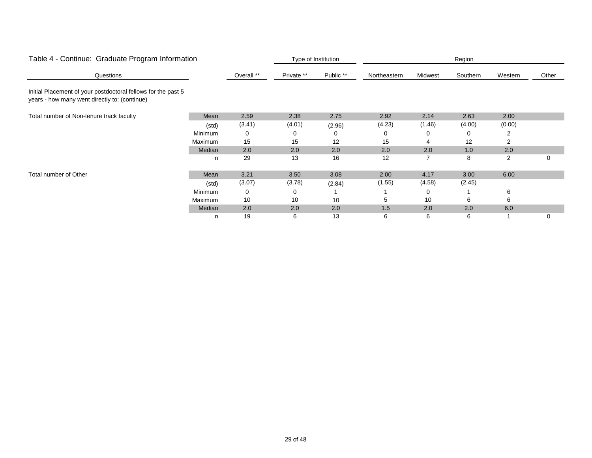|                                                                                                                | Table 4 - Continue: Graduate Program Information |            |            | Type of Institution<br>Region |              |         |          |         |       |  |
|----------------------------------------------------------------------------------------------------------------|--------------------------------------------------|------------|------------|-------------------------------|--------------|---------|----------|---------|-------|--|
| Questions                                                                                                      |                                                  | Overall ** | Private ** | Public **                     | Northeastern | Midwest | Southern | Western | Other |  |
| Initial Placement of your postdoctoral fellows for the past 5<br>years - how many went directly to: (continue) |                                                  |            |            |                               |              |         |          |         |       |  |
| Total number of Non-tenure track faculty                                                                       | Mean                                             | 2.59       | 2.38       | 2.75                          | 2.92         | 2.14    | 2.63     | 2.00    |       |  |
|                                                                                                                | (std)                                            | (3.41)     | (4.01)     | (2.96)                        | (4.23)       | (1.46)  | (4.00)   | (0.00)  |       |  |
|                                                                                                                | Minimum                                          | 0          | 0          | 0                             |              | 0       | 0        | 2       |       |  |
|                                                                                                                | Maximum                                          | 15         | 15         | 12                            | 15           | 4       | 12       | 2       |       |  |
|                                                                                                                | Median                                           | 2.0        | 2.0        | 2.0                           | 2.0          | 2.0     | 1.0      | 2.0     |       |  |
|                                                                                                                | n                                                | 29         | 13         | 16                            | 12           |         | 8        | 2       | 0     |  |
| Total number of Other                                                                                          | Mean                                             | 3.21       | 3.50       | 3.08                          | 2.00         | 4.17    | 3.00     | 6.00    |       |  |
|                                                                                                                | (std)                                            | (3.07)     | (3.78)     | (2.84)                        | (1.55)       | (4.58)  | (2.45)   |         |       |  |
|                                                                                                                | Minimum                                          | 0          | 0          |                               |              | 0       |          | 6       |       |  |
|                                                                                                                | Maximum                                          | 10         | 10         | 10                            | 5            | 10      | 6        | 6       |       |  |
|                                                                                                                | Median                                           | 2.0        | 2.0        | 2.0                           | 1.5          | 2.0     | 2.0      | 6.0     |       |  |
|                                                                                                                | n                                                | 19         | 6          | 13                            | 6            | 6       | 6        |         | 0     |  |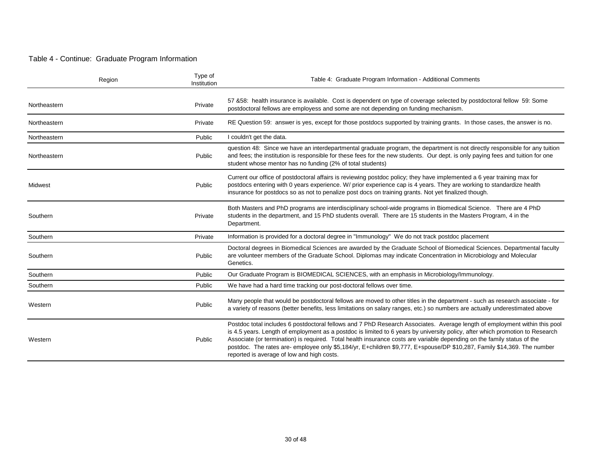#### Table 4 - Continue: Graduate Program Information

| Region       | Type of<br>Institution | Table 4: Graduate Program Information - Additional Comments                                                                                                                                                                                                                                                                                                                                                                                                                                                                                                     |
|--------------|------------------------|-----------------------------------------------------------------------------------------------------------------------------------------------------------------------------------------------------------------------------------------------------------------------------------------------------------------------------------------------------------------------------------------------------------------------------------------------------------------------------------------------------------------------------------------------------------------|
| Northeastern | Private                | 57 &58: health insurance is available. Cost is dependent on type of coverage selected by postdoctoral fellow 59: Some<br>postdoctoral fellows are employess and some are not depending on funding mechanism.                                                                                                                                                                                                                                                                                                                                                    |
| Northeastern | Private                | RE Question 59: answer is yes, except for those postdocs supported by training grants. In those cases, the answer is no.                                                                                                                                                                                                                                                                                                                                                                                                                                        |
| Northeastern | Public                 | I couldn't get the data.                                                                                                                                                                                                                                                                                                                                                                                                                                                                                                                                        |
| Northeastern | Public                 | question 48: Since we have an interdepartmental graduate program, the department is not directly responsible for any tuition<br>and fees; the institution is responsible for these fees for the new students. Our dept. is only paying fees and tuition for one<br>student whose mentor has no funding (2% of total students)                                                                                                                                                                                                                                   |
| Midwest      | Public                 | Current our office of postdoctoral affairs is reviewing postdoc policy; they have implemented a 6 year training max for<br>postdocs entering with 0 years experience. W/ prior experience cap is 4 years. They are working to standardize health<br>insurance for postdocs so as not to penalize post docs on training grants. Not yet finalized though.                                                                                                                                                                                                        |
| Southern     | Private                | Both Masters and PhD programs are interdisciplinary school-wide programs in Biomedical Science. There are 4 PhD<br>students in the department, and 15 PhD students overall. There are 15 students in the Masters Program, 4 in the<br>Department.                                                                                                                                                                                                                                                                                                               |
| Southern     | Private                | Information is provided for a doctoral degree in "Immunology" We do not track postdoc placement                                                                                                                                                                                                                                                                                                                                                                                                                                                                 |
| Southern     | Public                 | Doctoral degrees in Biomedical Sciences are awarded by the Graduate School of Biomedical Sciences. Departmental faculty<br>are volunteer members of the Graduate School. Diplomas may indicate Concentration in Microbiology and Molecular<br>Genetics.                                                                                                                                                                                                                                                                                                         |
| Southern     | Public                 | Our Graduate Program is BIOMEDICAL SCIENCES, with an emphasis in Microbiology/Immunology.                                                                                                                                                                                                                                                                                                                                                                                                                                                                       |
| Southern     | Public                 | We have had a hard time tracking our post-doctoral fellows over time.                                                                                                                                                                                                                                                                                                                                                                                                                                                                                           |
| Western      | Public                 | Many people that would be postdoctoral fellows are moved to other titles in the department - such as research associate - for<br>a variety of reasons (better benefits, less limitations on salary ranges, etc.) so numbers are actually underestimated above                                                                                                                                                                                                                                                                                                   |
| Western      | Public                 | Postdoc total includes 6 postdoctoral fellows and 7 PhD Research Associates. Average length of employment within this pool<br>is 4.5 years. Length of employment as a postdoc is limited to 6 years by university policy, after which promotion to Research<br>Associate (or termination) is required. Total health insurance costs are variable depending on the family status of the<br>postdoc. The rates are- employee only \$5,184/yr, E+children \$9,777, E+spouse/DP \$10,287, Family \$14,369. The number<br>reported is average of low and high costs. |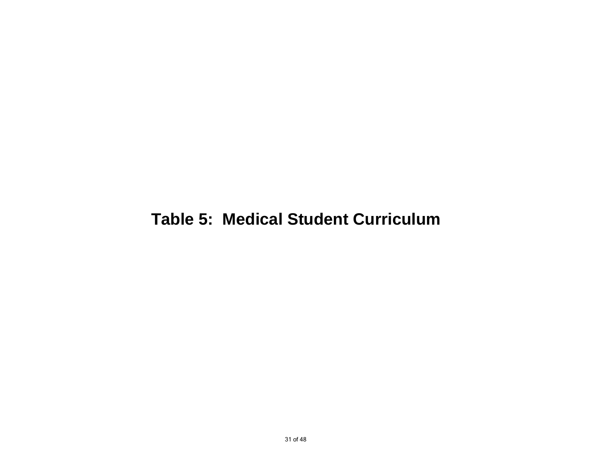# **Table 5: Medical Student Curriculum**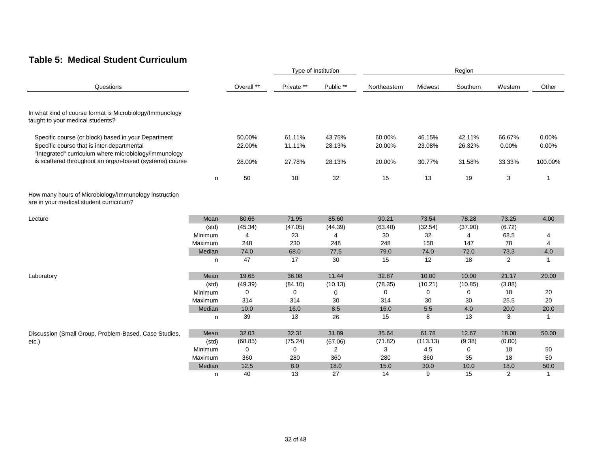#### **Table 5: Medical Student Curriculum**

|                                                                                                                                                            |         |                  |                  | Type of Institution | Region           |                  |                  |                 |                |
|------------------------------------------------------------------------------------------------------------------------------------------------------------|---------|------------------|------------------|---------------------|------------------|------------------|------------------|-----------------|----------------|
| Questions                                                                                                                                                  |         | Overall **       | Private **       | Public **           | Northeastern     | Midwest          | Southern         | Western         | Other          |
| In what kind of course format is Microbiology/Immunology<br>taught to your medical students?                                                               |         |                  |                  |                     |                  |                  |                  |                 |                |
| Specific course (or block) based in your Department<br>Specific course that is inter-departmental<br>"Integrated" curriculum where microbiology/immunology |         | 50.00%<br>22.00% | 61.11%<br>11.11% | 43.75%<br>28.13%    | 60.00%<br>20.00% | 46.15%<br>23.08% | 42.11%<br>26.32% | 66.67%<br>0.00% | 0.00%<br>0.00% |
| is scattered throughout an organ-based (systems) course                                                                                                    |         | 28.00%           | 27.78%           | 28.13%              | 20.00%           | 30.77%           | 31.58%           | 33.33%          | 100.00%        |
|                                                                                                                                                            | n       | 50               | 18               | 32                  | 15               | 13               | 19               | 3               | 1              |
| How many hours of Microbiology/Immunology instruction<br>are in your medical student curriculum?                                                           |         |                  |                  |                     |                  |                  |                  |                 |                |
| Lecture                                                                                                                                                    | Mean    | 80.66            | 71.95            | 85.60               | 90.21            | 73.54            | 78.28            | 73.25           | 4.00           |
|                                                                                                                                                            | (std)   | (45.34)          | (47.05)          | (44.39)             | (63.40)          | (32.54)          | (37.90)          | (6.72)          |                |
|                                                                                                                                                            | Minimum | $\overline{4}$   | 23               | 4                   | 30               | 32               | $\overline{4}$   | 68.5            | 4              |
|                                                                                                                                                            | Maximum | 248              | 230              | 248                 | 248              | 150              | 147              | 78              | 4              |
|                                                                                                                                                            | Median  | 74.0             | 68.0             | 77.5                | 79.0             | 74.0             | 72.0             | 73.3            | 4.0            |
|                                                                                                                                                            | n       | 47               | 17               | 30                  | 15               | 12               | 18               | 2               | $\mathbf{1}$   |
| Laboratory                                                                                                                                                 | Mean    | 19.65            | 36.08            | 11.44               | 32.87            | 10.00            | 10.00            | 21.17           | 20.00          |
|                                                                                                                                                            | (std)   | (49.39)          | (84.10)          | (10.13)             | (78.35)          | (10.21)          | (10.85)          | (3.88)          |                |
|                                                                                                                                                            | Minimum | 0                | 0                | 0                   | 0                | $\mathbf 0$      | 0                | 18              | 20             |
|                                                                                                                                                            | Maximum | 314              | 314              | 30                  | 314              | 30               | 30               | 25.5            | 20             |
|                                                                                                                                                            | Median  | 10.0             | 16.0             | 8.5                 | 16.0             | $5.5\,$          | 4.0              | 20.0            | 20.0           |
|                                                                                                                                                            | n       | 39               | 13               | 26                  | 15               | 8                | 13               | 3               | $\mathbf{1}$   |
| Discussion (Small Group, Problem-Based, Case Studies,                                                                                                      | Mean    | 32.03            | 32.31            | 31.89               | 35.64            | 61.78            | 12.67            | 18.00           | 50.00          |
| etc.)                                                                                                                                                      | (std)   | (68.85)          | (75.24)          | (67.06)             | (71.82)          | (113.13)         | (9.38)           | (0.00)          |                |
|                                                                                                                                                            | Minimum | 0                | 0                | $\overline{2}$      | 3                | 4.5              | 0                | 18              | 50             |
|                                                                                                                                                            | Maximum | 360              | 280              | 360                 | 280              | 360              | 35               | 18              | 50             |
|                                                                                                                                                            | Median  | 12.5             | 8.0              | 18.0                | 15.0             | 30.0             | 10.0             | 18.0            | 50.0           |
|                                                                                                                                                            | n       | 40               | 13               | 27                  | 14               | 9                | 15               | $\overline{2}$  | $\mathbf{1}$   |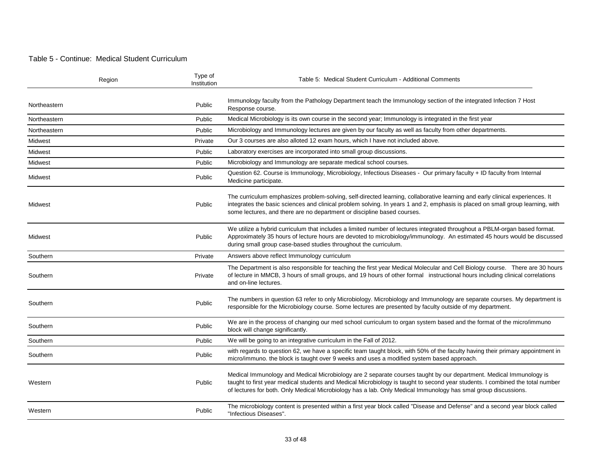#### Table 5 - Continue: Medical Student Curriculum

| Region       | Type of<br>Institution | Table 5: Medical Student Curriculum - Additional Comments                                                                                                                                                                                                                                                                                                             |
|--------------|------------------------|-----------------------------------------------------------------------------------------------------------------------------------------------------------------------------------------------------------------------------------------------------------------------------------------------------------------------------------------------------------------------|
| Northeastern | Public                 | Immunology faculty from the Pathology Department teach the Immunology section of the integrated Infection 7 Host<br>Response course.                                                                                                                                                                                                                                  |
| Northeastern | Public                 | Medical Microbiology is its own course in the second year; Immunology is integrated in the first year                                                                                                                                                                                                                                                                 |
| Northeastern | Public                 | Microbiology and Immunology lectures are given by our faculty as well as faculty from other departments.                                                                                                                                                                                                                                                              |
| Midwest      | Private                | Our 3 courses are also alloted 12 exam hours, which I have not included above.                                                                                                                                                                                                                                                                                        |
| Midwest      | Public                 | Laboratory exercises are incorporated into small group discussions.                                                                                                                                                                                                                                                                                                   |
| Midwest      | Public                 | Microbiology and Immunology are separate medical school courses.                                                                                                                                                                                                                                                                                                      |
| Midwest      | Public                 | Question 62. Course is Immunology, Microbiology, Infectious Diseases - Our primary faculty + ID faculty from Internal<br>Medicine participate.                                                                                                                                                                                                                        |
| Midwest      | Public                 | The curriculum emphasizes problem-solving, self-directed learning, collaborative learning and early clinical experiences. It<br>integrates the basic sciences and clinical problem solving. In years 1 and 2, emphasis is placed on small group learning, with<br>some lectures, and there are no department or discipline based courses.                             |
| Midwest      | Public                 | We utilize a hybrid curriculum that includes a limited number of lectures integrated throughout a PBLM-organ based format.<br>Approximately 35 hours of lecture hours are devoted to microbiology/immunology. An estimated 45 hours would be discussed<br>during small group case-based studies throughout the curriculum.                                            |
| Southern     | Private                | Answers above reflect Immunology curriculum                                                                                                                                                                                                                                                                                                                           |
| Southern     | Private                | The Department is also responsible for teaching the first year Medical Molecular and Cell Biology course. There are 30 hours<br>of lecture in MMCB, 3 hours of small groups, and 19 hours of other formal instructional hours including clinical correlations<br>and on-line lectures.                                                                                |
| Southern     | Public                 | The numbers in question 63 refer to only Microbiology. Microbiology and Immunology are separate courses. My department is<br>responsible for the Microbiology course. Some lectures are presented by faculty outside of my department.                                                                                                                                |
| Southern     | Public                 | We are in the process of changing our med school curriculum to organ system based and the format of the micro/immuno<br>block will change significantly.                                                                                                                                                                                                              |
| Southern     | Public                 | We will be going to an integrative curriculum in the Fall of 2012.                                                                                                                                                                                                                                                                                                    |
| Southern     | Public                 | with regards to question 62, we have a specific team taught block, with 50% of the faculty having their primary appointment in<br>micro/immuno. the block is taught over 9 weeks and uses a modified system based approach.                                                                                                                                           |
| Western      | Public                 | Medical Immunology and Medical Microbiology are 2 separate courses taught by our department. Medical Immunology is<br>taught to first year medical students and Medical Microbiology is taught to second year students. I combined the total number<br>of lectures for both. Only Medical Microbiology has a lab. Only Medical Immunology has smal group discussions. |
| Western      | Public                 | The microbiology content is presented within a first year block called "Disease and Defense" and a second year block called<br>"Infectious Diseases".                                                                                                                                                                                                                 |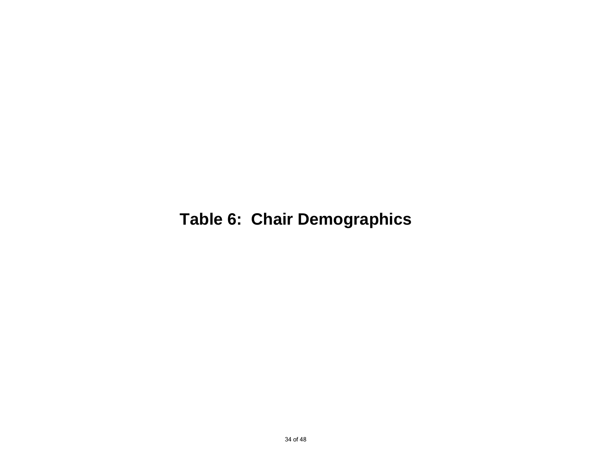# **Table 6: Chair Demographics**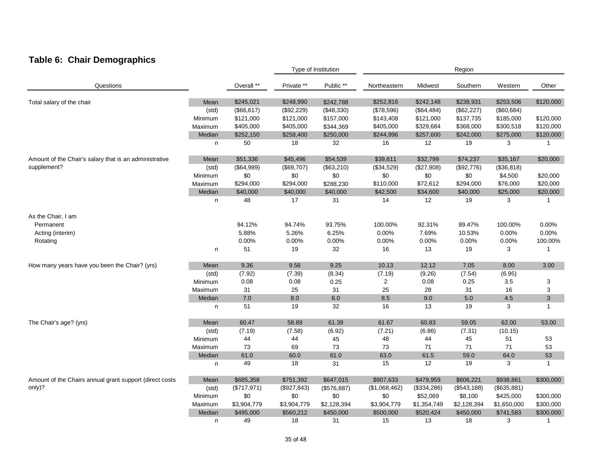## **Table 6: Chair Demographics**

|                                                         |         |             |              | Type of Institution |               |             | Region      |             |              |
|---------------------------------------------------------|---------|-------------|--------------|---------------------|---------------|-------------|-------------|-------------|--------------|
| Questions                                               |         | Overall **  | Private **   | Public **           | Northeastern  | Midwest     | Southern    | Western     | Other        |
| Total salary of the chair                               | Mean    | \$245,021   | \$248,990    | \$242,788           | \$252,816     | \$242,148   | \$238,931   | \$253,506   | \$120,000    |
|                                                         | (std)   | (\$66, 617) | (\$92,229)   | (\$48,330)          | (\$78,596)    | (\$64,484)  | (\$62,227)  | (\$60,684)  |              |
|                                                         | Minimum | \$121,000   | \$121,000    | \$157,000           | \$143,408     | \$121,000   | \$137,735   | \$185,000   | \$120,000    |
|                                                         | Maximum | \$405,000   | \$405,000    | \$344,369           | \$405,000     | \$329,684   | \$368,000   | \$300,518   | \$120,000    |
|                                                         | Median  | \$252,150   | \$258,400    | \$250,000           | \$244,996     | \$257,600   | \$242,000   | \$275,000   | \$120,000    |
|                                                         | n       | 50          | 18           | 32                  | 16            | 12          | 19          | 3           | $\mathbf{1}$ |
| Amount of the Chair's salary that is an administrative  | Mean    | \$51,336    | \$45,496     | \$54,539            | \$39,611      | \$32,799    | \$74,237    | \$35,167    | \$20,000     |
| supplement?                                             | (std)   | (\$64,989)  | (\$69,707)   | (\$63,210)          | (\$34,529)    | (\$27,908)  | (\$92,776)  | (\$36,818)  |              |
|                                                         | Minimum | \$0         | \$0          | \$0                 | \$0           | \$0         | \$0         | \$4,500     | \$20,000     |
|                                                         | Maximum | \$294,000   | \$294,000    | \$288,230           | \$110,000     | \$72,612    | \$294,000   | \$76,000    | \$20,000     |
|                                                         | Median  | \$40,000    | \$40,000     | \$40,000            | \$42,500      | \$34,600    | \$40,000    | \$25,000    | \$20,000     |
|                                                         | n       | 48          | 17           | 31                  | 14            | 12          | 19          | 3           | $\mathbf{1}$ |
| As the Chair, I am                                      |         |             |              |                     |               |             |             |             |              |
| Permanent                                               |         | 94.12%      | 94.74%       | 93.75%              | 100.00%       | 92.31%      | 89.47%      | 100.00%     | 0.00%        |
| Acting (interim)                                        |         | 5.88%       | 5.26%        | 6.25%               | 0.00%         | 7.69%       | 10.53%      | 0.00%       | 0.00%        |
| Rotating                                                |         | 0.00%       | 0.00%        | 0.00%               | 0.00%         | 0.00%       | 0.00%       | 0.00%       | 100.00%      |
|                                                         | n       | 51          | 19           | 32                  | 16            | 13          | 19          | 3           | 1            |
| How many years have you been the Chair? (yrs)           | Mean    | 9.36        | 9.56         | 9.25                | 10.13         | 12.12       | 7.05        | 8.00        | 3.00         |
|                                                         | (std)   | (7.92)      | (7.39)       | (8.34)              | (7.19)        | (9.26)      | (7.54)      | (6.95)      |              |
|                                                         | Minimum | 0.08        | 0.08         | 0.25                | 2             | 0.08        | 0.25        | 3.5         | 3            |
|                                                         | Maximum | 31          | 25           | 31                  | 25            | 28          | 31          | 16          | 3            |
|                                                         | Median  | $7.0$       | 8.0          | 6.0                 | 8.5           | 9.0         | $5.0\,$     | 4.5         | $\sqrt{3}$   |
|                                                         | n       | 51          | 19           | 32                  | 16            | 13          | 19          | 3           | $\mathbf{1}$ |
| The Chair's age? (yrs)                                  | Mean    | 60.47       | 58.89        | 61.39               | 61.67         | 60.83       | 59.05       | 62.00       | 53.00        |
|                                                         | (std)   | (7.19)      | (7.58)       | (6.92)              | (7.21)        | (6.86)      | (7.31)      | (10.15)     |              |
|                                                         | Minimum | 44          | 44           | 45                  | 48            | 44          | 45          | 51          | 53           |
|                                                         | Maximum | 73          | 69           | 73                  | 73            | 71          | 71          | 71          | 53           |
|                                                         | Median  | 61.0        | 60.0         | 61.0                | 63.0          | 61.5        | 59.0        | 64.0        | 53           |
|                                                         | n       | 49          | 18           | 31                  | 15            | 12          | 19          | 3           | $\mathbf{1}$ |
| Amount of the Chairs annual grant support (direct costs | Mean    | \$685,358   | \$751,392    | \$647,015           | \$907,633     | \$479,959   | \$606,221   | \$938,861   | \$300,000    |
| only)?                                                  | (std)   | (\$717,971) | (\$927, 843) | (\$576,887)         | (\$1,068,462) | (\$334,286) | (\$543,188) | (\$635,881) |              |
|                                                         | Minimum | \$0         | \$0          | \$0                 | \$0           | \$52,069    | \$8,100     | \$425,000   | \$300,000    |
|                                                         | Maximum | \$3,904,779 | \$3,904,779  | \$2,128,394         | \$3,904,779   | \$1,354,749 | \$2,128,394 | \$1,650,000 | \$300,000    |
|                                                         | Median  | \$495,000   | \$560,212    | \$450,000           | \$500,000     | \$520,424   | \$450,000   | \$741,583   | \$300,000    |
|                                                         | n       | 49          | 18           | 31                  | 15            | 13          | 18          | 3           | $\mathbf{1}$ |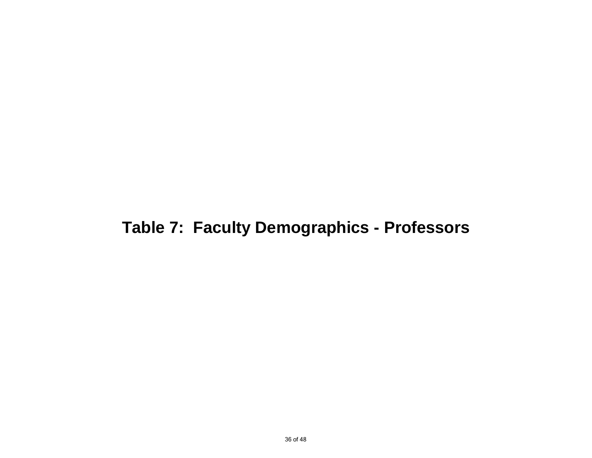# **Table 7: Faculty Demographics - Professors**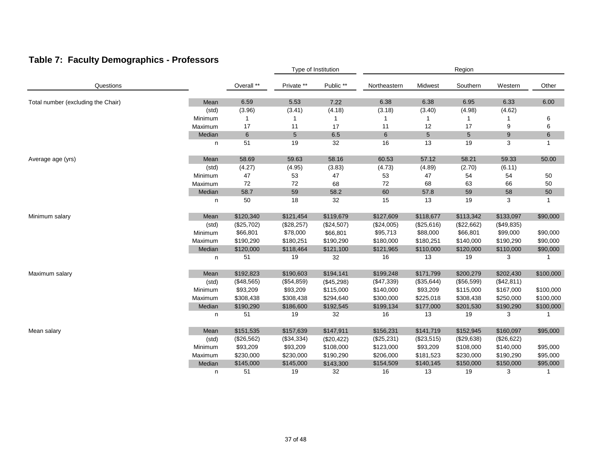## **Table 7: Faculty Demographics - Professors**

|                                    |         |            | Type of Institution |            |              | Region          |            |            |              |  |
|------------------------------------|---------|------------|---------------------|------------|--------------|-----------------|------------|------------|--------------|--|
| Questions                          |         | Overall ** | Private **          | Public **  | Northeastern | Midwest         | Southern   | Western    | Other        |  |
| Total number (excluding the Chair) | Mean    | 6.59       | 5.53                | 7.22       | 6.38         | 6.38            | 6.95       | 6.33       | 6.00         |  |
|                                    | (std)   | (3.96)     | (3.41)              | (4.18)     | (3.18)       | (3.40)          | (4.98)     | (4.62)     |              |  |
|                                    | Minimum | 1          |                     | 1          | 1            |                 | 1          |            | 6            |  |
|                                    | Maximum | 17         | 11                  | 17         | 11           | 12              | 17         | 9          | 6            |  |
|                                    | Median  | 6          | 5                   | 6.5        | 6            | $5\overline{)}$ | 5          | 9          | 6            |  |
|                                    | n       | 51         | 19                  | 32         | 16           | 13              | 19         | 3          | $\mathbf{1}$ |  |
| Average age (yrs)                  | Mean    | 58.69      | 59.63               | 58.16      | 60.53        | 57.12           | 58.21      | 59.33      | 50.00        |  |
|                                    | (std)   | (4.27)     | (4.95)              | (3.83)     | (4.73)       | (4.89)          | (2.70)     | (6.11)     |              |  |
|                                    | Minimum | 47         | 53                  | 47         | 53           | 47              | 54         | 54         | 50           |  |
|                                    | Maximum | 72         | 72                  | 68         | 72           | 68              | 63         | 66         | 50           |  |
|                                    | Median  | 58.7       | 59                  | 58.2       | 60           | 57.8            | 59         | 58         | 50           |  |
|                                    | n       | 50         | 18                  | 32         | 15           | 13              | 19         | 3          | $\mathbf{1}$ |  |
| Minimum salary                     | Mean    | \$120,340  | \$121,454           | \$119,679  | \$127,609    | \$118,677       | \$113,342  | \$133,097  | \$90,000     |  |
|                                    | (std)   | (\$25,702) | (\$28,257)          | (\$24,507) | (\$24,005)   | (\$25,616)      | (\$22,662) | (\$49,835) |              |  |
|                                    | Minimum | \$66,801   | \$78,000            | \$66,801   | \$95,713     | \$88,000        | \$66,801   | \$99,000   | \$90,000     |  |
|                                    | Maximum | \$190,290  | \$180,251           | \$190,290  | \$180,000    | \$180,251       | \$140,000  | \$190,290  | \$90,000     |  |
|                                    | Median  | \$120,000  | \$118,464           | \$121,100  | \$121,965    | \$110,000       | \$120,000  | \$110,000  | \$90,000     |  |
|                                    | n       | 51         | 19                  | 32         | 16           | 13              | 19         | 3          |              |  |
| Maximum salary                     | Mean    | \$192,823  | \$190,603           | \$194,141  | \$199,248    | \$171,799       | \$200,279  | \$202,430  | \$100,000    |  |
|                                    | (std)   | (\$48,565) | (\$54,859)          | (\$45,298) | (\$47,339)   | (\$35,644)      | (\$56,599) | (\$42,811) |              |  |
|                                    | Minimum | \$93,209   | \$93,209            | \$115,000  | \$140,000    | \$93,209        | \$115,000  | \$167,000  | \$100,000    |  |
|                                    | Maximum | \$308,438  | \$308,438           | \$294,640  | \$300,000    | \$225,018       | \$308,438  | \$250,000  | \$100,000    |  |
|                                    | Median  | \$190,290  | \$186,600           | \$192,545  | \$199,134    | \$177,000       | \$201,530  | \$190,290  | \$100,000    |  |
|                                    | n       | 51         | 19                  | 32         | 16           | 13              | 19         | 3          | $\mathbf{1}$ |  |
| Mean salary                        | Mean    | \$151,535  | \$157,639           | \$147,911  | \$156,231    | \$141,719       | \$152,945  | \$160,097  | \$95,000     |  |
|                                    | (std)   | (\$26,562) | (\$34,334)          | (\$20,422) | (\$25,231)   | (\$23,515)      | (\$29,638) | (\$26,622) |              |  |
|                                    | Minimum | \$93,209   | \$93,209            | \$108,000  | \$123,000    | \$93,209        | \$108,000  | \$140,000  | \$95,000     |  |
|                                    | Maximum | \$230,000  | \$230,000           | \$190,290  | \$206,000    | \$181,523       | \$230,000  | \$190,290  | \$95,000     |  |
|                                    | Median  | \$145,000  | \$145,000           | \$143,300  | \$154,509    | \$140,145       | \$150,000  | \$150,000  | \$95,000     |  |
|                                    | n       | 51         | 19                  | 32         | 16           | 13              | 19         | 3          | $\mathbf 1$  |  |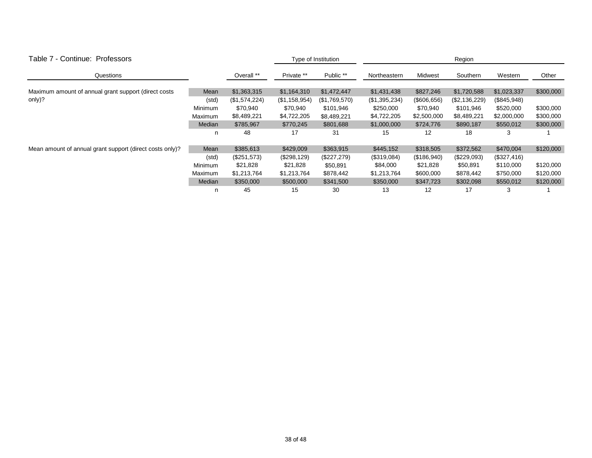| Table 7 - Continue: Professors                           |         |               | Type of Institution |               | Region        |                |               |             |           |  |
|----------------------------------------------------------|---------|---------------|---------------------|---------------|---------------|----------------|---------------|-------------|-----------|--|
| Questions                                                |         | Overall **    | Private **          | Public **     | Northeastern  | <b>Midwest</b> | Southern      | Western     | Other     |  |
| Maximum amount of annual grant support (direct costs     | Mean    | \$1,363,315   | \$1,164,310         | \$1,472,447   | \$1,431,438   | \$827,246      | \$1,720,588   | \$1,023,337 | \$300,000 |  |
| only)?                                                   | (std)   | (\$1,574,224) | (\$1,158,954)       | (\$1,769,570) | (\$1,395,234) | (\$606,656)    | (\$2,136,229) | (\$845,948) |           |  |
|                                                          | Minimum | \$70,940      | \$70,940            | \$101,946     | \$250,000     | \$70,940       | \$101,946     | \$520,000   | \$300,000 |  |
|                                                          | Maximum | \$8,489,221   | \$4,722,205         | \$8,489,221   | \$4,722,205   | \$2,500,000    | \$8,489,221   | \$2,000,000 | \$300,000 |  |
|                                                          | Median  | \$785,967     | \$770,245           | \$801,688     | \$1,000,000   | \$724,776      | \$890,187     | \$550,012   | \$300,000 |  |
|                                                          | n       | 48            | 17                  | 31            | 15            | 12             | 18            | 3           |           |  |
| Mean amount of annual grant support (direct costs only)? | Mean    | \$385,613     | \$429,009           | \$363,915     | \$445,152     | \$318,505      | \$372,562     | \$470,004   | \$120,000 |  |
|                                                          | (std)   | (\$251,573)   | (\$298, 129)        | (\$227,279)   | (\$319,084)   | (\$186,940)    | $(\$229,093)$ | (\$327,416) |           |  |
|                                                          | Minimum | \$21,828      | \$21,828            | \$50,891      | \$84,000      | \$21,828       | \$50,891      | \$110,000   | \$120,000 |  |
|                                                          | Maximum | \$1,213,764   | \$1,213,764         | \$878,442     | \$1,213,764   | \$600,000      | \$878,442     | \$750,000   | \$120,000 |  |
|                                                          | Median  | \$350,000     | \$500,000           | \$341,500     | \$350,000     | \$347,723      | \$302,098     | \$550,012   | \$120,000 |  |
|                                                          | n       | 45            | 15                  | 30            | 13            | 12             | 17            | 3           |           |  |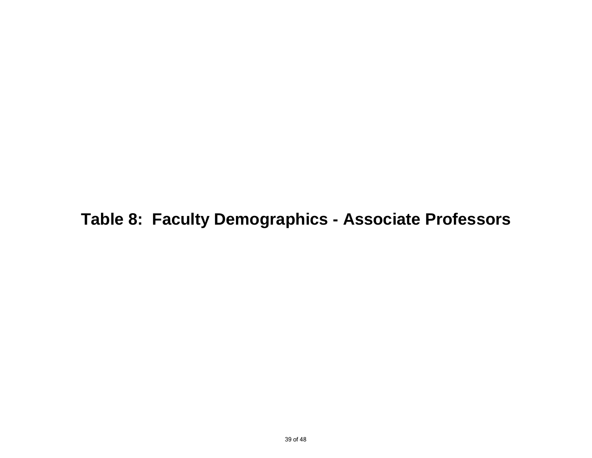**Table 8: Faculty Demographics - Associate Professors**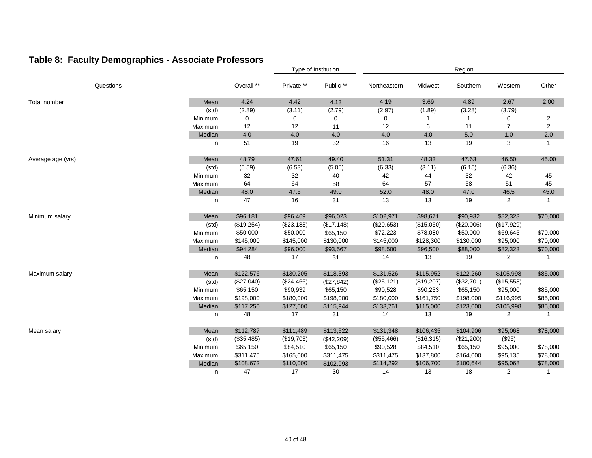## **Table 8: Faculty Demographics - Associate Professors**

|                   |         |            |               | Type of Institution |              |            | Region     |                |                |
|-------------------|---------|------------|---------------|---------------------|--------------|------------|------------|----------------|----------------|
| Questions         |         | Overall ** | Private **    | Public **           | Northeastern | Midwest    | Southern   | Western        | Other          |
| Total number      | Mean    | 4.24       | 4.42          | 4.13                | 4.19         | 3.69       | 4.89       | 2.67           | 2.00           |
|                   | (std)   | (2.89)     | (3.11)        | (2.79)              | (2.97)       | (1.89)     | (3.28)     | (3.79)         |                |
|                   | Minimum | 0          | 0             | 0                   | 0            |            | 1          | 0              | $\overline{2}$ |
|                   | Maximum | 12         | 12            | 11                  | 12           | 6          | 11         | $\overline{7}$ | 2              |
|                   | Median  | 4.0        | 4.0           | 4.0                 | 4.0          | 4.0        | $5.0\,$    | 1.0            | 2.0            |
|                   | n       | 51         | 19            | 32                  | 16           | 13         | 19         | 3              | $\mathbf{1}$   |
| Average age (yrs) | Mean    | 48.79      | 47.61         | 49.40               | 51.31        | 48.33      | 47.63      | 46.50          | 45.00          |
|                   | (std)   | (5.59)     | (6.53)        | (5.05)              | (6.33)       | (3.11)     | (6.15)     | (6.36)         |                |
|                   | Minimum | 32         | 32            | 40                  | 42           | 44         | 32         | 42             | 45             |
|                   | Maximum | 64         | 64            | 58                  | 64           | 57         | 58         | 51             | 45             |
|                   | Median  | 48.0       | 47.5          | 49.0                | 52.0         | 48.0       | 47.0       | 46.5           | 45.0           |
|                   | n       | 47         | 16            | 31                  | 13           | 13         | 19         | $\overline{2}$ | $\mathbf{1}$   |
| Minimum salary    | Mean    | \$96,181   | \$96,469      | \$96,023            | \$102,971    | \$98,671   | \$90,932   | \$82,323       | \$70,000       |
|                   | (std)   | (\$19,254) | $(\$23, 183)$ | (\$17,148)          | (\$20,653)   | (\$15,050) | (\$20,006) | (\$17,929)     |                |
|                   | Minimum | \$50,000   | \$50,000      | \$65,150            | \$72,223     | \$78,080   | \$50,000   | \$69,645       | \$70,000       |
|                   | Maximum | \$145,000  | \$145,000     | \$130,000           | \$145,000    | \$128,300  | \$130,000  | \$95,000       | \$70,000       |
|                   | Median  | \$94,284   | \$96,000      | \$93,567            | \$98,500     | \$96,500   | \$88,000   | \$82,323       | \$70,000       |
|                   | n       | 48         | 17            | 31                  | 14           | 13         | 19         | 2              | -1             |
| Maximum salary    | Mean    | \$122,576  | \$130,205     | \$118,393           | \$131,526    | \$115,952  | \$122,260  | \$105,998      | \$85,000       |
|                   | (std)   | (\$27,040) | (\$24,466)    | (\$27,842)          | (\$25, 121)  | (\$19,207) | (\$32,701) | (\$15,553)     |                |
|                   | Minimum | \$65,150   | \$90,939      | \$65,150            | \$90,528     | \$90,233   | \$65,150   | \$95,000       | \$85,000       |
|                   | Maximum | \$198,000  | \$180,000     | \$198,000           | \$180,000    | \$161,750  | \$198,000  | \$116,995      | \$85,000       |
|                   | Median  | \$117,250  | \$127,000     | \$115,944           | \$133,761    | \$115,000  | \$123,000  | \$105,998      | \$85,000       |
|                   | n       | 48         | 17            | 31                  | 14           | 13         | 19         | 2              | 1              |
| Mean salary       | Mean    | \$112,787  | \$111,489     | \$113,522           | \$131,348    | \$106,435  | \$104,906  | \$95,068       | \$78,000       |
|                   | (std)   | (\$35,485) | (\$19,703)    | (\$42,209)          | (\$55,466)   | (\$16,315) | (\$21,200) | (\$95)         |                |
|                   | Minimum | \$65,150   | \$84,510      | \$65,150            | \$90,528     | \$84,510   | \$65,150   | \$95,000       | \$78,000       |
|                   | Maximum | \$311,475  | \$165,000     | \$311,475           | \$311,475    | \$137,800  | \$164,000  | \$95,135       | \$78,000       |
|                   | Median  | \$108,672  | \$110,000     | \$102,993           | \$114,292    | \$106,700  | \$100,644  | \$95,068       | \$78,000       |
|                   | n       | 47         | 17            | 30                  | 14           | 13         | 18         | $\overline{2}$ | $\mathbf{1}$   |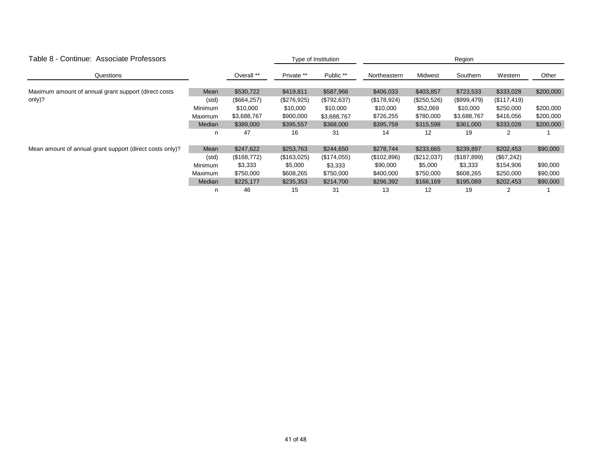| Table 8 - Continue: Associate Professors                 |                |              |             | Type of Institution | Region       |             |             |             |           |  |
|----------------------------------------------------------|----------------|--------------|-------------|---------------------|--------------|-------------|-------------|-------------|-----------|--|
| Questions                                                |                | Overall **   | Private **  | Public **           | Northeastern | Midwest     | Southern    | Western     | Other     |  |
| Maximum amount of annual grant support (direct costs     | Mean           | \$530,722    | \$419,811   | \$587,966           | \$406,033    | \$403,857   | \$723,533   | \$333,028   | \$200,000 |  |
| only)?                                                   | (std)          | (\$664, 257) | (\$276,925) | (\$792, 637)        | (\$178,924)  | (\$250,526) | (\$999,479) | (\$117,419) |           |  |
|                                                          | Minimum        | \$10,000     | \$10,000    | \$10,000            | \$10,000     | \$52,069    | \$10,000    | \$250,000   | \$200,000 |  |
|                                                          | Maximum        | \$3,688,767  | \$900,000   | \$3,688,767         | \$726,255    | \$780,000   | \$3,688,767 | \$416,056   | \$200,000 |  |
|                                                          | Median         | \$389,000    | \$395,557   | \$368,000           | \$395,759    | \$315,598   | \$361,000   | \$333,028   | \$200,000 |  |
|                                                          | n              | 47           | 16          | 31                  | 14           | 12          | 19          |             |           |  |
| Mean amount of annual grant support (direct costs only)? | Mean           | \$247,622    | \$253,763   | \$244,650           | \$278,744    | \$233,665   | \$239,897   | \$202,453   | \$90,000  |  |
|                                                          | (std)          | (\$168,772)  | (\$163,025) | (\$174,055)         | (\$102,896)  | (\$212,037) | (\$187,899) | (\$67,242)  |           |  |
|                                                          | <b>Minimum</b> | \$3,333      | \$5,000     | \$3,333             | \$90,000     | \$5,000     | \$3,333     | \$154,906   | \$90,000  |  |
|                                                          | Maximum        | \$750,000    | \$608,265   | \$750,000           | \$400,000    | \$750,000   | \$608,265   | \$250,000   | \$90,000  |  |
|                                                          | Median         | \$225,177    | \$235,353   | \$214,700           | \$296,392    | \$166,169   | \$195,089   | \$202,453   | \$90,000  |  |
|                                                          | n              | 46           | 15          | 31                  | 13           | 12          | 19          |             |           |  |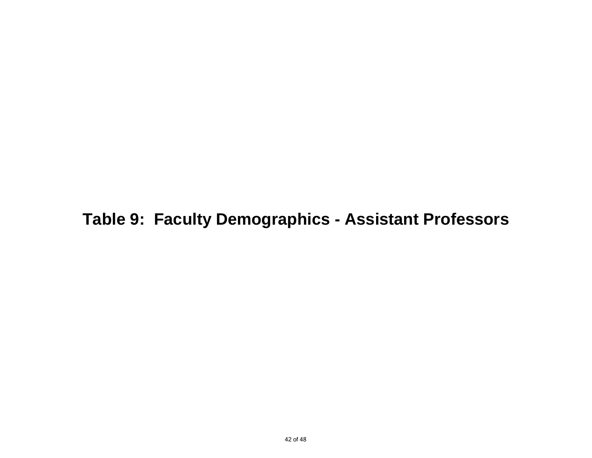**Table 9: Faculty Demographics - Assistant Professors**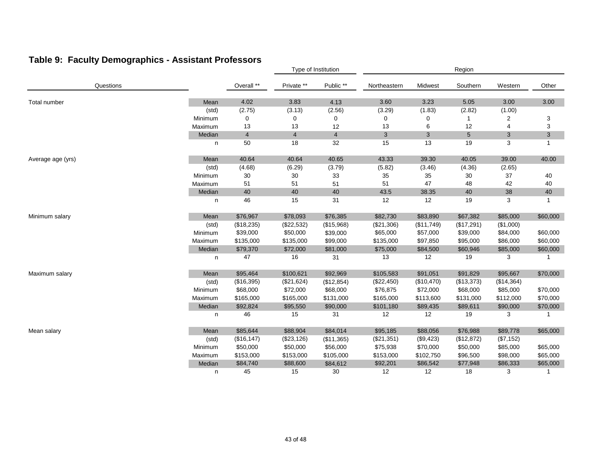## **Table 9: Faculty Demographics - Assistant Professors**

|                   |         |                | Type of Institution |                |              | Region     |                 |                |                |  |
|-------------------|---------|----------------|---------------------|----------------|--------------|------------|-----------------|----------------|----------------|--|
| Questions         |         | Overall **     | Private **          | Public **      | Northeastern | Midwest    | Southern        | Western        | Other          |  |
| Total number      | Mean    | 4.02           | 3.83                | 4.13           | 3.60         | 3.23       | 5.05            | 3.00           | 3.00           |  |
|                   | (std)   | (2.75)         | (3.13)              | (2.56)         | (3.29)       | (1.83)     | (2.82)          | (1.00)         |                |  |
|                   | Minimum | 0              | 0                   | 0              | 0            | 0          | $\mathbf 1$     | 2              | 3              |  |
|                   | Maximum | 13             | 13                  | 12             | 13           | 6          | 12              | $\overline{4}$ | 3              |  |
|                   | Median  | $\overline{4}$ | $\overline{4}$      | $\overline{4}$ | 3            | 3          | $5\phantom{.0}$ | 3              | $\mathbf{3}$   |  |
|                   | n       | 50             | 18                  | 32             | 15           | 13         | 19              | 3              | $\overline{1}$ |  |
| Average age (yrs) | Mean    | 40.64          | 40.64               | 40.65          | 43.33        | 39.30      | 40.05           | 39.00          | 40.00          |  |
|                   | (std)   | (4.68)         | (6.29)              | (3.79)         | (5.82)       | (3.46)     | (4.36)          | (2.65)         |                |  |
|                   | Minimum | 30             | $30\,$              | 33             | 35           | 35         | $30\,$          | 37             | 40             |  |
|                   | Maximum | 51             | 51                  | 51             | 51           | 47         | 48              | 42             | 40             |  |
|                   | Median  | 40             | 40                  | 40             | 43.5         | 38.35      | 40              | 38             | 40             |  |
|                   | n       | 46             | 15                  | 31             | 12           | 12         | 19              | 3              | $\overline{1}$ |  |
| Minimum salary    | Mean    | \$76,967       | \$78,093            | \$76,385       | \$82,730     | \$83,890   | \$67,382        | \$85,000       | \$60,000       |  |
|                   | (std)   | (\$18,235)     | (\$22,532)          | (\$15,968)     | (\$21,306)   | (\$11,749) | (\$17,291)      | (\$1,000)      |                |  |
|                   | Minimum | \$39,000       | \$50,000            | \$39,000       | \$65,000     | \$57,000   | \$39,000        | \$84,000       | \$60,000       |  |
|                   | Maximum | \$135,000      | \$135,000           | \$99,000       | \$135,000    | \$97,850   | \$95,000        | \$86,000       | \$60,000       |  |
|                   | Median  | \$79,370       | \$72,000            | \$81,000       | \$75,000     | \$84,500   | \$60,946        | \$85,000       | \$60,000       |  |
|                   | n       | 47             | 16                  | 31             | 13           | 12         | 19              | 3              | -1             |  |
| Maximum salary    | Mean    | \$95,464       | \$100,621           | \$92,969       | \$105,583    | \$91,051   | \$91,829        | \$95,667       | \$70,000       |  |
|                   | (std)   | (\$16,395)     | (\$21,624)          | (\$12,854)     | (\$22,450)   | (\$10,470) | (\$13,373)      | (\$14,364)     |                |  |
|                   | Minimum | \$68,000       | \$72,000            | \$68,000       | \$76,875     | \$72,000   | \$68,000        | \$85,000       | \$70,000       |  |
|                   | Maximum | \$165,000      | \$165,000           | \$131,000      | \$165,000    | \$113,600  | \$131,000       | \$112,000      | \$70,000       |  |
|                   | Median  | \$92,824       | \$95,550            | \$90,000       | \$101,180    | \$89,435   | \$89,611        | \$90,000       | \$70,000       |  |
|                   | n       | 46             | 15                  | 31             | 12           | 12         | 19              | 3              | -1             |  |
| Mean salary       | Mean    | \$85,644       | \$88,904            | \$84,014       | \$95,185     | \$88,056   | \$76,988        | \$89,778       | \$65,000       |  |
|                   | (std)   | (\$16, 147)    | (\$23,126)          | (\$11,365)     | (\$21,351)   | (\$9,423)  | (\$12,872)      | (\$7,152)      |                |  |
|                   | Minimum | \$50,000       | \$50,000            | \$56,000       | \$75,938     | \$70,000   | \$50,000        | \$85,000       | \$65,000       |  |
|                   | Maximum | \$153,000      | \$153,000           | \$105,000      | \$153,000    | \$102,750  | \$96,500        | \$98,000       | \$65,000       |  |
|                   | Median  | \$84,740       | \$88,600            | \$84,612       | \$92,201     | \$86,542   | \$77,948        | \$86,333       | \$65,000       |  |
|                   | n       | 45             | 15                  | 30             | 12           | 12         | 18              | 3              | $\mathbf{1}$   |  |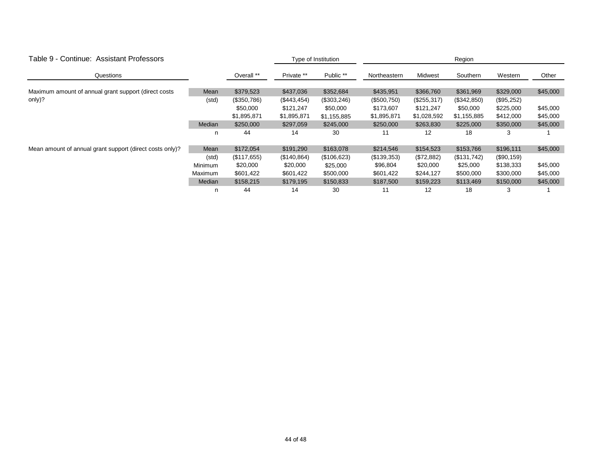| Table 9 - Continue: Assistant Professors                 |                |             | Type of Institution |             | Region       |             |             |            |          |  |
|----------------------------------------------------------|----------------|-------------|---------------------|-------------|--------------|-------------|-------------|------------|----------|--|
| Questions                                                |                | Overall **  | Private **          | Public **   | Northeastern | Midwest     | Southern    | Western    | Other    |  |
|                                                          |                | \$379,523   | \$437,036           | \$352,684   | \$435,951    | \$366,760   | \$361,969   | \$329,000  |          |  |
| Maximum amount of annual grant support (direct costs     | Mean           |             |                     |             |              |             |             |            | \$45,000 |  |
| only)?                                                   | (std)          | (\$350,786) | $(\$443,454)$       | (\$303,246) | (\$500,750)  | (\$255,317) | (\$342,850) | (\$95,252) |          |  |
|                                                          |                | \$50,000    | \$121,247           | \$50,000    | \$173,607    | \$121,247   | \$50,000    | \$225,000  | \$45,000 |  |
|                                                          |                | \$1,895,871 | \$1,895,871         | \$1,155,885 | \$1,895,871  | \$1,028,592 | \$1,155,885 | \$412,000  | \$45,000 |  |
|                                                          | Median         | \$250,000   | \$297,059           | \$245,000   | \$250,000    | \$263,830   | \$225,000   | \$350,000  | \$45,000 |  |
|                                                          | n              | 44          | 14                  | 30          | 11           | 12          | 18          | 3          |          |  |
| Mean amount of annual grant support (direct costs only)? | Mean           | \$172,054   | \$191,290           | \$163,078   | \$214,546    | \$154,523   | \$153,766   | \$196,111  | \$45,000 |  |
|                                                          | (std)          | (\$117,655) | (\$140,864)         | (\$106,623) | (\$139,353)  | (\$72,882)  | (\$131,742) | (\$90,159) |          |  |
|                                                          | Minimum        | \$20,000    | \$20,000            | \$25,000    | \$96,804     | \$20,000    | \$25,000    | \$138,333  | \$45,000 |  |
|                                                          | <b>Maximum</b> | \$601,422   | \$601,422           | \$500,000   | \$601,422    | \$244,127   | \$500,000   | \$300,000  | \$45,000 |  |
|                                                          | Median         | \$158,215   | \$179,195           | \$150,833   | \$187,500    | \$159,223   | \$113,469   | \$150,000  | \$45,000 |  |
|                                                          | n              | 44          | 14                  | 30          | 11           | 12          | 18          | 3          |          |  |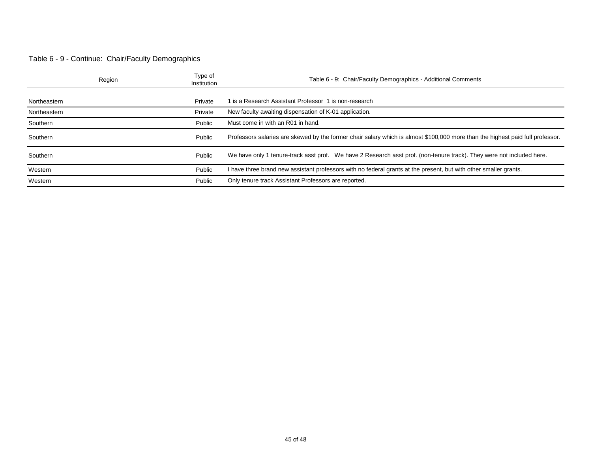#### Table 6 - 9 - Continue: Chair/Faculty Demographics

|              | Region | Type of<br>Institution | Table 6 - 9: Chair/Faculty Demographics - Additional Comments                                                                  |
|--------------|--------|------------------------|--------------------------------------------------------------------------------------------------------------------------------|
| Northeastern |        | Private                | 1 is a Research Assistant Professor 1 is non-research                                                                          |
| Northeastern |        | Private                | New faculty awaiting dispensation of K-01 application.                                                                         |
| Southern     |        | Public                 | Must come in with an R01 in hand.                                                                                              |
| Southern     |        | Public                 | Professors salaries are skewed by the former chair salary which is almost \$100,000 more than the highest paid full professor. |
| Southern     |        | Public                 | We have only 1 tenure-track asst prof. We have 2 Research asst prof. (non-tenure track). They were not included here.          |
| Western      |        | Public                 | I have three brand new assistant professors with no federal grants at the present, but with other smaller grants.              |
| Western      |        | Public                 | Only tenure track Assistant Professors are reported.                                                                           |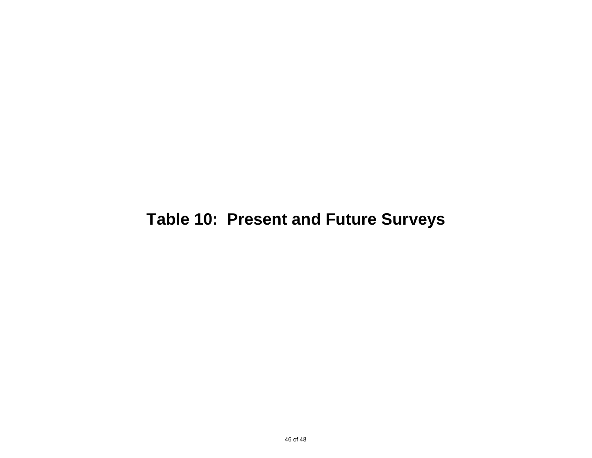# **Table 10: Present and Future Surveys**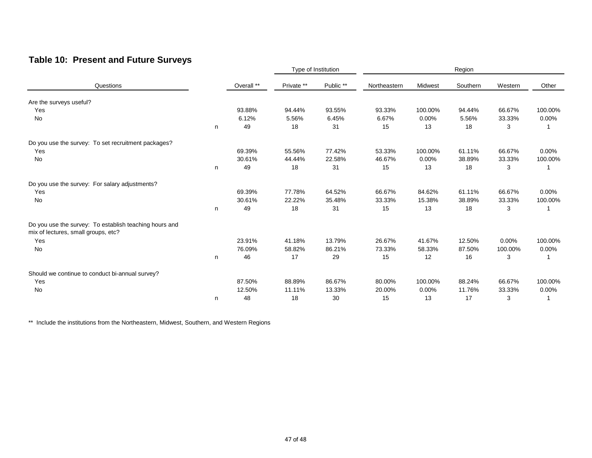### **Table 10: Present and Future Surveys**

|                                                                                               |   |            | Type of Institution |           | Region       |         |          |          |          |
|-----------------------------------------------------------------------------------------------|---|------------|---------------------|-----------|--------------|---------|----------|----------|----------|
| Questions                                                                                     |   | Overall ** | Private **          | Public ** | Northeastern | Midwest | Southern | Western  | Other    |
| Are the surveys useful?                                                                       |   |            |                     |           |              |         |          |          |          |
| Yes                                                                                           |   | 93.88%     | 94.44%              | 93.55%    | 93.33%       | 100.00% | 94.44%   | 66.67%   | 100.00%  |
| No                                                                                            |   | 6.12%      | 5.56%               | 6.45%     | 6.67%        | 0.00%   | 5.56%    | 33.33%   | $0.00\%$ |
|                                                                                               | n | 49         | 18                  | 31        | 15           | 13      | 18       | 3        |          |
| Do you use the survey: To set recruitment packages?                                           |   |            |                     |           |              |         |          |          |          |
| Yes                                                                                           |   | 69.39%     | 55.56%              | 77.42%    | 53.33%       | 100.00% | 61.11%   | 66.67%   | 0.00%    |
| No                                                                                            |   | 30.61%     | 44.44%              | 22.58%    | 46.67%       | 0.00%   | 38.89%   | 33.33%   | 100.00%  |
|                                                                                               | n | 49         | 18                  | 31        | 15           | 13      | 18       | 3        | 1        |
| Do you use the survey: For salary adjustments?                                                |   |            |                     |           |              |         |          |          |          |
| Yes                                                                                           |   | 69.39%     | 77.78%              | 64.52%    | 66.67%       | 84.62%  | 61.11%   | 66.67%   | 0.00%    |
| No                                                                                            |   | 30.61%     | 22.22%              | 35.48%    | 33.33%       | 15.38%  | 38.89%   | 33.33%   | 100.00%  |
|                                                                                               | n | 49         | 18                  | 31        | 15           | 13      | 18       | 3        |          |
| Do you use the survey: To establish teaching hours and<br>mix of lectures, small groups, etc? |   |            |                     |           |              |         |          |          |          |
| Yes                                                                                           |   | 23.91%     | 41.18%              | 13.79%    | 26.67%       | 41.67%  | 12.50%   | $0.00\%$ | 100.00%  |
| No                                                                                            |   | 76.09%     | 58.82%              | 86.21%    | 73.33%       | 58.33%  | 87.50%   | 100.00%  | $0.00\%$ |
|                                                                                               | n | 46         | 17                  | 29        | 15           | 12      | 16       | 3        | 1        |
| Should we continue to conduct bi-annual survey?                                               |   |            |                     |           |              |         |          |          |          |
| Yes                                                                                           |   | 87.50%     | 88.89%              | 86.67%    | 80.00%       | 100.00% | 88.24%   | 66.67%   | 100.00%  |
| No                                                                                            |   | 12.50%     | 11.11%              | 13.33%    | 20.00%       | 0.00%   | 11.76%   | 33.33%   | $0.00\%$ |
|                                                                                               | n | 48         | 18                  | 30        | 15           | 13      | 17       | 3        | 1        |

\*\* Include the institutions from the Northeastern, Midwest, Southern, and Western Regions